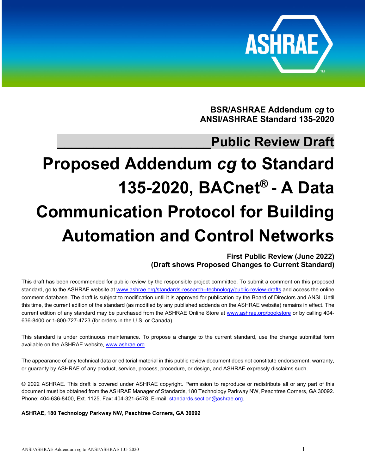

**BSR/ASHRAE Addendum** *cg* **to ANSI/ASHRAE Standard 135-2020** 

## **\_\_\_\_\_\_\_\_\_\_\_\_\_\_\_\_\_\_\_\_\_Public Review Draft**

# **Proposed Addendum** *cg* **to Standard 135-2020, BACnet® - A Data Communication Protocol for Building Automation and Control Networks**

**First Public Review (June 2022) (Draft shows Proposed Changes to Current Standard)** 

This draft has been recommended for public review by the responsible project committee. To submit a comment on this proposed standard, go to the ASHRAE website at www.ashrae.org/standards-research--technology/public-review-drafts and access the online comment database. The draft is subject to modification until it is approved for publication by the Board of Directors and ANSI. Until this time, the current edition of the standard (as modified by any published addenda on the ASHRAE website) remains in effect. The current edition of any standard may be purchased from the ASHRAE Online Store at www.ashrae.org/bookstore or by calling 404-636-8400 or 1-800-727-4723 (for orders in the U.S. or Canada).

This standard is under continuous maintenance. To propose a change to the current standard, use the change submittal form available on the ASHRAE website, www.ashrae.org.

The appearance of any technical data or editorial material in this public review document does not constitute endorsement, warranty, or guaranty by ASHRAE of any product, service, process, procedure, or design, and ASHRAE expressly disclaims such.

© 2022 ASHRAE. This draft is covered under ASHRAE copyright. Permission to reproduce or redistribute all or any part of this document must be obtained from the ASHRAE Manager of Standards, 180 Technology Parkway NW, Peachtree Corners, GA 30092. Phone: 404-636-8400, Ext. 1125. Fax: 404-321-5478. E-mail: standards.section@ashrae.org.

**ASHRAE, 180 Technology Parkway NW, Peachtree Corners, GA 30092**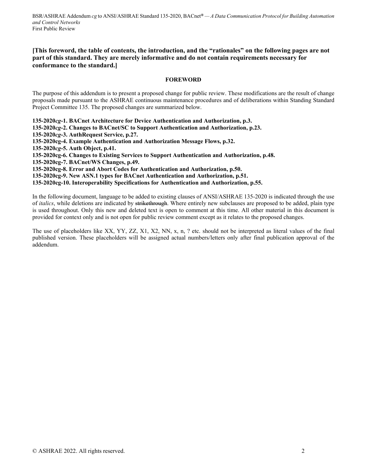## **[This foreword, the table of contents, the introduction, and the "rationales" on the following pages are not part of this standard. They are merely informative and do not contain requirements necessary for conformance to the standard.]**

## **FOREWORD**

The purpose of this addendum is to present a proposed change for public review. These modifications are the result of change proposals made pursuant to the ASHRAE continuous maintenance procedures and of deliberations within Standing Standard Project Committee 135. The proposed changes are summarized below.

**135-2020***cg***-1. BACnet Architecture for Device Authentication and Authorization, p.3.** 

**135-2020***cg***-2. Changes to BACnet/SC to Support Authentication and Authorization, p.23.** 

**135-2020***cg***-3. AuthRequest Service, p.27.** 

**135-2020cg-4. Example Authentication and Authorization Message Flows, p.32.** 

**135-2020***cg***-5. Auth Object, p.41.** 

**135-2020cg-6. Changes to Existing Services to Support Authentication and Authorization, p.48.** 

**135-2020cg-7. BACnet/WS Changes, p.49.** 

**135-2020cg-8. Error and Abort Codes for Authentication and Authorization, p.50.** 

**135-2020cg-9. New ASN.1 types for BACnet Authentication and Authorization, p.51.** 

**135-2020cg-10. Interoperability Specifications for Authentication and Authorization, p.55.** 

In the following document, language to be added to existing clauses of ANSI/ASHRAE 135-2020 is indicated through the use of *italics*, while deletions are indicated by strikethrough. Where entirely new subclauses are proposed to be added, plain type is used throughout. Only this new and deleted text is open to comment at this time. All other material in this document is provided for context only and is not open for public review comment except as it relates to the proposed changes.

The use of placeholders like XX, YY, ZZ, X1, X2, NN, x, n, ? etc. should not be interpreted as literal values of the final published version. These placeholders will be assigned actual numbers/letters only after final publication approval of the addendum.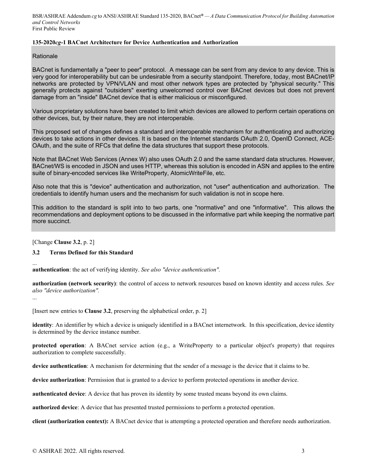## **135-2020***cg***-1 BACnet Architecture for Device Authentication and Authorization**

## Rationale

BACnet is fundamentally a "peer to peer" protocol. A message can be sent from any device to any device. This is very good for interoperability but can be undesirable from a security standpoint. Therefore, today, most BACnet/IP networks are protected by VPN/VLAN and most other network types are protected by "physical security." This generally protects against "outsiders" exerting unwelcomed control over BACnet devices but does not prevent damage from an "inside" BACnet device that is either malicious or misconfigured.

Various proprietary solutions have been created to limit which devices are allowed to perform certain operations on other devices, but, by their nature, they are not interoperable.

This proposed set of changes defines a standard and interoperable mechanism for authenticating and authorizing devices to take actions in other devices. It is based on the Internet standards OAuth 2.0, OpenID Connect, ACE-OAuth, and the suite of RFCs that define the data structures that support these protocols.

Note that BACnet Web Services (Annex W) also uses OAuth 2.0 and the same standard data structures. However, BACnet/WS is encoded in JSON and uses HTTP, whereas this solution is encoded in ASN and applies to the entire suite of binary-encoded services like WriteProperty, AtomicWriteFile, etc.

Also note that this is "device" authentication and authorization, not "user" authentication and authorization. The credentials to identify human users and the mechanism for such validation is not in scope here.

This addition to the standard is split into to two parts, one "normative" and one "informative". This allows the recommendations and deployment options to be discussed in the informative part while keeping the normative part more succinct.

[Change **Clause 3.2**, p. 2]

## **3.2 Terms Defined for this Standard**

... **authentication**: the act of verifying identity. *See also "device authentication".*

**authorization (network security)**: the control of access to network resources based on known identity and access rules. *See also "device authorization".*

...

[Insert new entries to **Clause 3.2**, preserving the alphabetical order, p. 2]

**identity**: An identifier by which a device is uniquely identified in a BACnet internetwork. In this specification, device identity is determined by the device instance number.

**protected operation**: A BACnet service action (e.g., a WriteProperty to a particular object's property) that requires authorization to complete successfully.

**device authentication**: A mechanism for determining that the sender of a message is the device that it claims to be.

**device authorization**: Permission that is granted to a device to perform protected operations in another device.

**authenticated device**: A device that has proven its identity by some trusted means beyond its own claims.

**authorized device**: A device that has presented trusted permissions to perform a protected operation.

**client (authorization context):** A BACnet device that is attempting a protected operation and therefore needs authorization.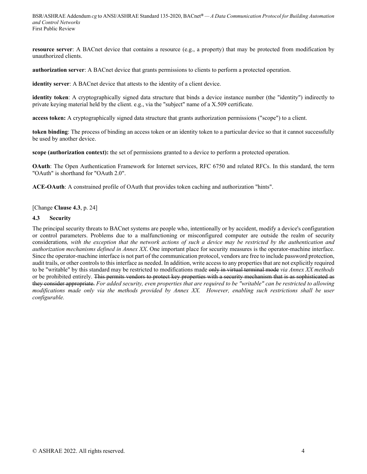**resource server**: A BACnet device that contains a resource (e.g., a property) that may be protected from modification by unauthorized clients.

**authorization server**: A BACnet device that grants permissions to clients to perform a protected operation.

**identity server**: A BACnet device that attests to the identity of a client device.

**identity token**: A cryptographically signed data structure that binds a device instance number (the "identity") indirectly to private keying material held by the client. e.g., via the "subject" name of a X.509 certificate.

**access token:** A cryptographically signed data structure that grants authorization permissions ("scope") to a client.

**token binding**: The process of binding an access token or an identity token to a particular device so that it cannot successfully be used by another device.

**scope (authorization context):** the set of permissions granted to a device to perform a protected operation.

**OAuth**: The Open Authentication Framework for Internet services, RFC 6750 and related RFCs. In this standard, the term "OAuth" is shorthand for "OAuth 2.0".

**ACE-OAuth**: A constrained profile of OAuth that provides token caching and authorization "hints".

[Change **Clause 4.3**, p. 24]

#### **4.3 Security**

The principal security threats to BACnet systems are people who, intentionally or by accident, modify a device's configuration or control parameters. Problems due to a malfunctioning or misconfigured computer are outside the realm of security considerations*, with the exception that the network actions of such a device may be restricted by the authentication and authorization mechanisms defined in Annex XX*. One important place for security measures is the operator-machine interface. Since the operator-machine interface is not part of the communication protocol, vendors are free to include password protection, audit trails, or other controls to this interface as needed. In addition, write access to any properties that are not explicitly required to be "writable" by this standard may be restricted to modifications made only in virtual terminal mode *via Annex XX methods* or be prohibited entirely. This permits vendors to protect key properties with a security mechanism that is as sophisticated as they consider appropriate. *For added security, even properties that are required to be "writable" can be restricted to allowing modifications made only via the methods provided by Annex XX. However, enabling such restrictions shall be user configurable.*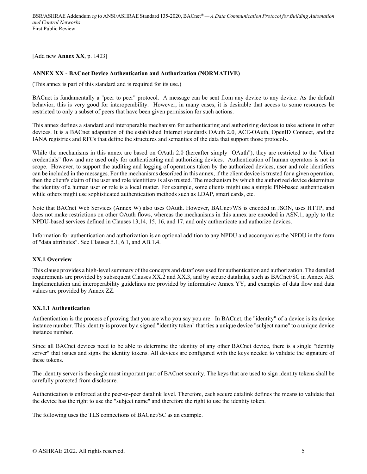[Add new **Annex XX**, p. 1403]

## **ANNEX XX - BACnet Device Authentication and Authorization (NORMATIVE)**

(This annex is part of this standard and is required for its use.)

BACnet is fundamentally a "peer to peer" protocol. A message can be sent from any device to any device. As the default behavior, this is very good for interoperability. However, in many cases, it is desirable that access to some resources be restricted to only a subset of peers that have been given permission for such actions.

This annex defines a standard and interoperable mechanism for authenticating and authorizing devices to take actions in other devices. It is a BACnet adaptation of the established Internet standards OAuth 2.0, ACE-OAuth, OpenID Connect, and the IANA registries and RFCs that define the structures and semantics of the data that support those protocols.

While the mechanisms in this annex are based on OAuth 2.0 (hereafter simply "OAuth"), they are restricted to the "client credentials" flow and are used only for authenticating and authorizing devices. Authentication of human operators is not in scope. However, to support the auditing and logging of operations taken by the authorized devices, user and role identifiers can be included in the messages. For the mechanisms described in this annex, if the client device is trusted for a given operation, then the client's claim of the user and role identifiers is also trusted. The mechanism by which the authorized device determines the identity of a human user or role is a local matter. For example, some clients might use a simple PIN-based authentication while others might use sophisticated authentication methods such as LDAP, smart cards, etc.

Note that BACnet Web Services (Annex W) also uses OAuth. However, BACnet/WS is encoded in JSON, uses HTTP, and does not make restrictions on other OAuth flows, whereas the mechanisms in this annex are encoded in ASN.1, apply to the NPDU-based services defined in Clauses 13,14, 15, 16, and 17, and only authenticate and authorize devices.

Information for authentication and authorization is an optional addition to any NPDU and accompanies the NPDU in the form of "data attributes". See Clauses 5.1, 6.1, and AB.1.4.

## **XX.1 Overview**

This clause provides a high-level summary of the concepts and dataflows used for authentication and authorization. The detailed requirements are provided by subsequent Clauses XX.2 and XX.3, and by secure datalinks, such as BACnet/SC in Annex AB. Implementation and interoperability guidelines are provided by informative Annex YY, and examples of data flow and data values are provided by Annex ZZ.

## **XX.1.1 Authentication**

Authentication is the process of proving that you are who you say you are. In BACnet, the "identity" of a device is its device instance number. This identity is proven by a signed "identity token" that ties a unique device "subject name" to a unique device instance number.

Since all BACnet devices need to be able to determine the identity of any other BACnet device, there is a single "identity server" that issues and signs the identity tokens. All devices are configured with the keys needed to validate the signature of these tokens.

The identity server is the single most important part of BACnet security. The keys that are used to sign identity tokens shall be carefully protected from disclosure.

Authentication is enforced at the peer-to-peer datalink level. Therefore, each secure datalink defines the means to validate that the device has the right to use the "subject name" and therefore the right to use the identity token.

The following uses the TLS connections of BACnet/SC as an example.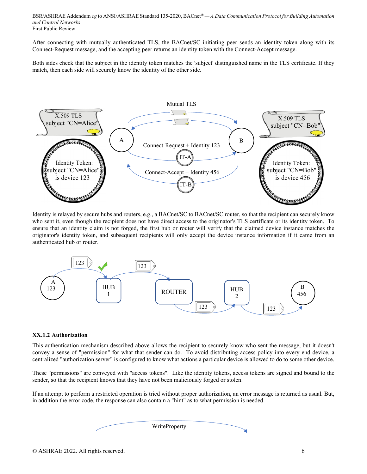After connecting with mutually authenticated TLS, the BACnet/SC initiating peer sends an identity token along with its Connect-Request message, and the accepting peer returns an identity token with the Connect-Accept message.

Both sides check that the subject in the identity token matches the 'subject' distinguished name in the TLS certificate. If they match, then each side will securely know the identity of the other side.



Identity is relayed by secure hubs and routers, e.g., a BACnet/SC to BACnet/SC router, so that the recipient can securely know who sent it, even though the recipient does not have direct access to the originator's TLS certificate or its identity token. To ensure that an identity claim is not forged, the first hub or router will verify that the claimed device instance matches the originator's identity token, and subsequent recipients will only accept the device instance information if it came from an authenticated hub or router.



## **XX.1.2 Authorization**

This authentication mechanism described above allows the recipient to securely know who sent the message, but it doesn't convey a sense of "permission" for what that sender can do. To avoid distributing access policy into every end device, a centralized "authorization server" is configured to know what actions a particular device is allowed to do to some other device.

These "permissions" are conveyed with "access tokens". Like the identity tokens, access tokens are signed and bound to the sender, so that the recipient knows that they have not been maliciously forged or stolen.

If an attempt to perform a restricted operation is tried without proper authorization, an error message is returned as usual. But, in addition the error code, the response can also contain a "hint" as to what permission is needed.

| WriteProperty |  |
|---------------|--|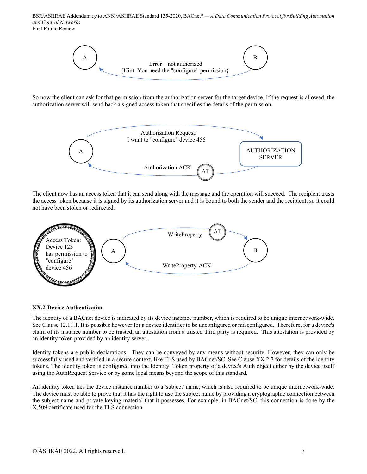

So now the client can ask for that permission from the authorization server for the target device. If the request is allowed, the authorization server will send back a signed access token that specifies the details of the permission.



The client now has an access token that it can send along with the message and the operation will succeed. The recipient trusts the access token because it is signed by its authorization server and it is bound to both the sender and the recipient, so it could not have been stolen or redirected.



## **XX.2 Device Authentication**

The identity of a BACnet device is indicated by its device instance number, which is required to be unique internetwork-wide. See Clause 12.11.1. It is possible however for a device identifier to be unconfigured or misconfigured. Therefore, for a device's claim of its instance number to be trusted, an attestation from a trusted third party is required. This attestation is provided by an identity token provided by an identity server.

Identity tokens are public declarations. They can be conveyed by any means without security. However, they can only be successfully used and verified in a secure context, like TLS used by BACnet/SC. See Clause XX.2.7 for details of the identity tokens. The identity token is configured into the Identity\_Token property of a device's Auth object either by the device itself using the AuthRequest Service or by some local means beyond the scope of this standard.

An identity token ties the device instance number to a 'subject' name, which is also required to be unique internetwork-wide. The device must be able to prove that it has the right to use the subject name by providing a cryptographic connection between the subject name and private keying material that it possesses. For example, in BACnet/SC, this connection is done by the X.509 certificate used for the TLS connection.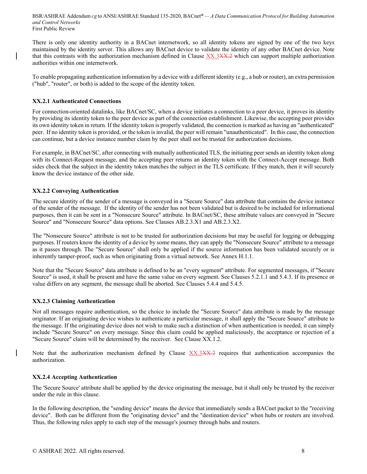There is only one identity authority in a BACnet internetwork, so all identity tokens are signed by one of the two keys maintained by the identity server. This allows any BACnet device to validate the identity of any other BACnet device. Note that this contrasts with the authorization mechanism defined in Clause XX.3XX.2 which can support multiple authorization authorities within one internetwork.

To enable propagating authentication information by a device with a different identity (e.g., a hub or router), an extra permission ("hub", "router", or both) is added to the scope of the identity token.

## **XX.2.1 Authenticated Connections**

For connection-oriented datalinks, like BACnet/SC, when a device initiates a connection to a peer device, it proves its identity by providing its identity token to the peer device as part of the connection establishment. Likewise, the accepting peer provides its own identity token in return. If the identity token is properly validated, the connection is marked as having an "authenticated" peer. If no identity token is provided, or the token is invalid, the peer will remain "unauthenticated". In this case, the connection can continue, but a device instance number claim by the peer shall not be trusted for authorization decisions.

For example, in BACnet/SC, after connecting with mutually authenticated TLS, the initiating peer sends an identity token along with its Connect-Request message, and the accepting peer returns an identity token with the Connect-Accept message. Both sides check that the subject in the identity token matches the subject in the TLS certificate. If they match, then it will securely know the device instance of the other side.

## **XX.2.2 Conveying Authentication**

The secure identity of the sender of a message is conveyed in a "Secure Source" data attribute that contains the device instance of the sender of the message. If the identity of the sender has not been validated but is desired to be included for informational purposes, then it can be sent in a "Nonsecure Source" attribute. In BACnet/SC, these attribute values are conveyed in "Secure Source" and "Nonsecure Source" data options. See Clauses AB.2.3.X1 and AB.2.3.X2.

The "Nonsecure Source" attribute is not to be trusted for authorization decisions but may be useful for logging or debugging purposes. If routers know the identity of a device by some means, they can apply the "Nonsecure Source" attribute to a message as it passes through. The "Secure Source" shall only be applied if the source information has been validated securely or is inherently tamper-proof, such as when originating from a virtual network. See Annex H.1.1.

Note that the "Secure Source" data attribute is defined to be an "every segment" attribute. For segmented messages, if "Secure Source" is used, it shall be present and have the same value on every segment. See Clauses 5.2.1.1 and 5.4.3. If its presence or value differs on any segment, the message shall be aborted. See Clauses 5.4.4 and 5.4.5.

## **XX.2.3 Claiming Authentication**

Not all messages require authentication, so the choice to include the "Secure Source" data attribute is made by the message originator. If an originating device wishes to authenticate a particular message, it shall apply the "Secure Source" attribute to the message. If the originating device does not wish to make such a distinction of when authentication is needed, it can simply include "Secure Source" on every message. Since this claim could be applied maliciously, the acceptance or rejection of a "Secure Source" claim will be determined by the receiver. See Clause XX.1.2.

Note that the authorization mechanism defined by Clause XX.3XX.2 requires that authentication accompanies the authorization.

## **XX.2.4 Accepting Authentication**

The 'Secure Source' attribute shall be applied by the device originating the message, but it shall only be trusted by the receiver under the rule in this clause.

In the following description, the "sending device" means the device that immediately sends a BACnet packet to the "receiving device". Both can be different from the "originating device" and the "destination device" when hubs or routers are involved. Thus, the following rules apply to each step of the message's journey through hubs and routers.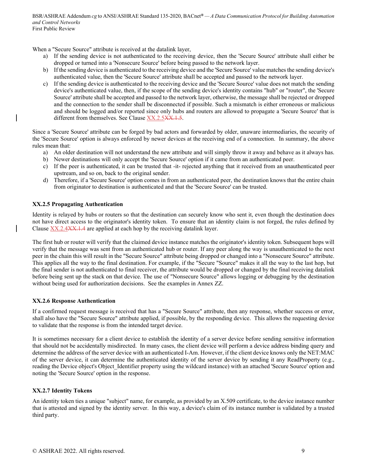When a "Secure Source" attribute is received at the datalink layer,

- a) If the sending device is not authenticated to the receiving device, then the 'Secure Source' attribute shall either be dropped or turned into a 'Nonsecure Source' before being passed to the network layer.
- b) If the sending device is authenticated to the receiving device and the 'Secure Source' value matches the sending device's authenticated value, then the 'Secure Source' attribute shall be accepted and passed to the network layer.
- c) If the sending device is authenticated to the receiving device and the 'Secure Source' value does not match the sending device's authenticated value, then, if the scope of the sending device's identity contains "hub" or "router", the 'Secure Source' attribute shall be accepted and passed to the network layer, otherwise, the message shall be rejected or dropped and the connection to the sender shall be disconnected if possible. Such a mismatch is either erroneous or malicious and should be logged and/or reported since only hubs and routers are allowed to propagate a 'Secure Source' that is different from themselves. See Clause XX.2.5XX.1.5.

Since a 'Secure Source' attribute can be forged by bad actors and forwarded by older, unaware intermediaries, the security of the 'Secure Source' option is always enforced by newer devices at the receiving end of a connection. In summary, the above rules mean that:

- a) An older destination will not understand the new attribute and will simply throw it away and behave as it always has.
- b) Newer destinations will only accept the 'Secure Source' option if it came from an authenticated peer.
- c) If the peer is authenticated, it can be trusted that -it- rejected anything that it received from an unauthenticated peer upstream, and so on, back to the original sender.
- d) Therefore, if a 'Secure Source' option comes in from an authenticated peer, the destination knows that the entire chain from originator to destination is authenticated and that the 'Secure Source' can be trusted.

## **XX.2.5 Propagating Authentication**

Identity is relayed by hubs or routers so that the destination can securely know who sent it, even though the destination does not have direct access to the originator's identity token. To ensure that an identity claim is not forged, the rules defined by Clause XX.2.4<del>XX.1.4</del> are applied at each hop by the receiving datalink layer.

The first hub or router will verify that the claimed device instance matches the originator's identity token. Subsequent hops will verify that the message was sent from an authenticated hub or router. If any peer along the way is unauthenticated to the next peer in the chain this will result in the "Secure Source" attribute being dropped or changed into a "Nonsecure Source" attribute. This applies all the way to the final destination. For example, if the "Secure "Source" makes it all the way to the last hop, but the final sender is not authenticated to final receiver, the attribute would be dropped or changed by the final receiving datalink before being sent up the stack on that device. The use of "Nonsecure Source" allows logging or debugging by the destination without being used for authorization decisions. See the examples in Annex ZZ.

## **XX.2.6 Response Authentication**

If a confirmed request message is received that has a "Secure Source" attribute, then any response, whether success or error, shall also have the "Secure Source" attribute applied, if possible, by the responding device. This allows the requesting device to validate that the response is from the intended target device.

It is sometimes necessary for a client device to establish the identity of a server device before sending sensitive information that should not be accidentally misdirected. In many cases, the client device will perform a device address binding query and determine the address of the server device with an authenticated I-Am. However, if the client device knows only the NET:MAC of the server device, it can determine the authenticated identity of the server device by sending it any ReadProperty (e.g., reading the Device object's Object Identifier property using the wildcard instance) with an attached 'Secure Source' option and noting the 'Secure Source' option in the response.

## **XX.2.7 Identity Tokens**

An identity token ties a unique "subject" name, for example, as provided by an X.509 certificate, to the device instance number that is attested and signed by the identity server. In this way, a device's claim of its instance number is validated by a trusted third party.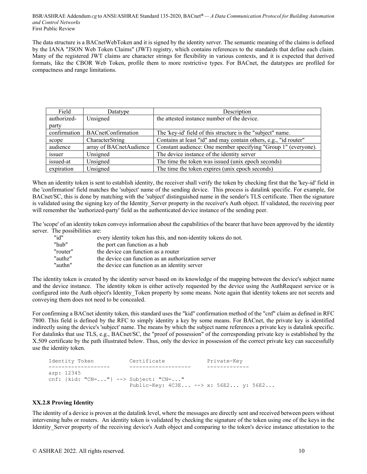The data structure is a BACnetWebToken and it is signed by the identity server. The semantic meaning of the claims is defined by the IANA "JSON Web Token Claims" (JWT) registry, which contains references to the standards that define each claim. Many of the registered JWT claims are character strings for flexibility in various contexts, and it is expected that derived formats, like the CBOR Web Token, profile them to more restrictive types. For BACnet, the datatypes are profiled for compactness and range limitations.

| Field        | Datatype                  | Description                                                      |
|--------------|---------------------------|------------------------------------------------------------------|
| authorized-  | Unsigned                  | the attested instance number of the device.                      |
| party        |                           |                                                                  |
| confirmation | <b>BACnetConfirmation</b> | The 'key-id' field of this structure is the "subject" name.      |
| scope        | CharacterString           | Contains at least "id" and may contain others, e.g., "id router" |
| audience     | array of BACnetAudience   | Constant audience: One member specifying "Group 1" (everyone).   |
| issuer       | Unsigned                  | The device instance of the identity server                       |
| issued-at    | Unsigned                  | The time the token was issued (unix epoch seconds)               |
| expiration   | Unsigned                  | The time the token expires (unix epoch seconds)                  |

When an identity token is sent to establish identity, the receiver shall verify the token by checking first that the 'key-id' field in the 'confirmation' field matches the 'subject' name of the sending device. This process is datalink specific. For example, for BACnet/SC, this is done by matching with the 'subject' distinguished name in the sender's TLS certificate. Then the signature is validated using the signing key of the Identity Server property in the receiver's Auth object. If validated, the receiving peer will remember the 'authorized-party' field as the authenticated device instance of the sending peer.

The 'scope' of an identity token conveys information about the capabilities of the bearer that have been approved by the identity server. The possibilities are:

| "id"     | every identity token has this, and non-identity tokens do not. |
|----------|----------------------------------------------------------------|
| "hub"    | the port can function as a hub                                 |
| "router" | the device can function as a router                            |
| "authz"  | the device can function as an authorization server             |
| "authn"  | the device can function as an identity server                  |

The identity token is created by the identity server based on its knowledge of the mapping between the device's subject name and the device instance. The identity token is either actively requested by the device using the AuthRequest service or is configured into the Auth object's Identity Token property by some means. Note again that identity tokens are not secrets and conveying them does not need to be concealed.

For confirming a BACnet identity token, this standard uses the "kid" confirmation method of the "cnf" claim as defined in RFC 7800. This field is defined by the RFC to simply identity a key by some means. For BACnet, the private key is identified indirectly using the device's 'subject' name. The means by which the subject name references a private key is datalink specific. For datalinks that use TLS, e.g., BACnet/SC, the "proof of possession" of the corresponding private key is established by the X.509 certificate by the path illustrated below. Thus, only the device in possession of the correct private key can successfully use the identity token.

```
 Identity Token Certificate Private-Key 
 ------------------- ------------------- ------------- 
     azp: 12345 
     cnf: {kid: "CN=..."} --> Subject: "CN=..." 
                          Public-Key: 4C3E... --> x: 56E2... y: 56E2...
```
## **XX.2.8 Proving Identity**

The identity of a device is proven at the datalink level, where the messages are directly sent and received between peers without intervening hubs or routers. An identity token is validated by checking the signature of the token using one of the keys in the Identity Server property of the receiving device's Auth object and comparing to the token's device instance attestation to the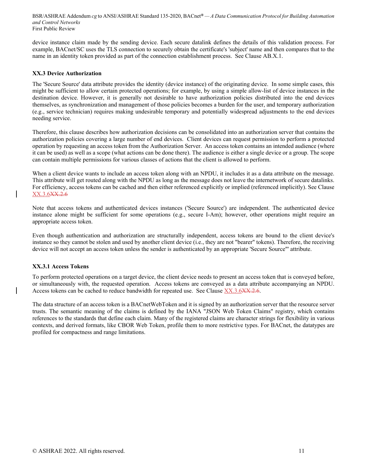device instance claim made by the sending device. Each secure datalink defines the details of this validation process. For example, BACnet/SC uses the TLS connection to securely obtain the certificate's 'subject' name and then compares that to the name in an identity token provided as part of the connection establishment process. See Clause AB.X.1.

#### **XX.3 Device Authorization**

The 'Secure Source' data attribute provides the identity (device instance) of the originating device. In some simple cases, this might be sufficient to allow certain protected operations; for example, by using a simple allow-list of device instances in the destination device. However, it is generally not desirable to have authorization policies distributed into the end devices themselves, as synchronization and management of those policies becomes a burden for the user, and temporary authorization (e.g., service technician) requires making undesirable temporary and potentially widespread adjustments to the end devices needing service.

Therefore, this clause describes how authorization decisions can be consolidated into an authorization server that contains the authorization policies covering a large number of end devices. Client devices can request permission to perform a protected operation by requesting an access token from the Authorization Server. An access token contains an intended audience (where it can be used) as well as a scope (what actions can be done there). The audience is either a single device or a group. The scope can contain multiple permissions for various classes of actions that the client is allowed to perform.

When a client device wants to include an access token along with an NPDU, it includes it as a data attribute on the message. This attribute will get routed along with the NPDU as long as the message does not leave the internetwork of secure datalinks. For efficiency, access tokens can be cached and then either referenced explicitly or implied (referenced implicitly). See Clause XX.3.6XX.2.6

Note that access tokens and authenticated devices instances ('Secure Source') are independent. The authenticated device instance alone might be sufficient for some operations (e.g., secure I-Am); however, other operations might require an appropriate access token.

Even though authentication and authorization are structurally independent, access tokens are bound to the client device's instance so they cannot be stolen and used by another client device (i.e., they are not "bearer" tokens). Therefore, the receiving device will not accept an access token unless the sender is authenticated by an appropriate 'Secure Source"' attribute.

## **XX.3.1 Access Tokens**

To perform protected operations on a target device, the client device needs to present an access token that is conveyed before, or simultaneously with, the requested operation. Access tokens are conveyed as a data attribute accompanying an NPDU. Access tokens can be cached to reduce bandwidth for repeated use. See Clause XX.3.6XX.2.6.

The data structure of an access token is a BACnetWebToken and it is signed by an authorization server that the resource server trusts. The semantic meaning of the claims is defined by the IANA "JSON Web Token Claims" registry, which contains references to the standards that define each claim. Many of the registered claims are character strings for flexibility in various contexts, and derived formats, like CBOR Web Token, profile them to more restrictive types. For BACnet, the datatypes are profiled for compactness and range limitations.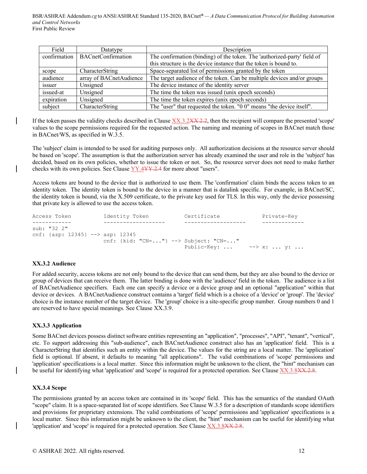| Field      | Datatype                          | Description                                                              |
|------------|-----------------------------------|--------------------------------------------------------------------------|
|            | confirmation   BACnetConfirmation | The confirmation (binding) of the token. The 'authorized-party' field of |
|            |                                   | this structure is the device instance that the token is bound to.        |
| scope      | CharacterString                   | Space-separated list of permissions granted by the token                 |
| audience   | array of BACnetAudience           | The target audience of the token. Can be multiple devices and/or groups  |
| issuer     | Unsigned                          | The device instance of the identity server                               |
| issued-at  | Unsigned                          | The time the token was issued (unix epoch seconds)                       |
| expiration | Unsigned                          | The time the token expires (unix epoch seconds)                          |
| subject    | CharacterString                   | The "user" that requested the token. "0 0" means "the device itself".    |

If the token passes the validity checks described in Clause  $XX.3.2XX.2.2$ , then the recipient will compare the presented 'scope' values to the scope permissions required for the requested action. The naming and meaning of scopes in BACnet match those in BACnet/WS, as specified in W.3.5.

The 'subject' claim is intended to be used for auditing purposes only. All authorization decisions at the resource server should be based on 'scope'. The assumption is that the authorization server has already examined the user and role in the 'subject' has decided, based on its own policies, whether to issue the token or not. So, the resource server does not need to make further checks with its own policies. See Clause YY.4YY.2.4 for more about "users".

Access tokens are bound to the device that is authorized to use them. The 'confirmation' claim binds the access token to an identity token. The identity token is bound to the device in a manner that is datalink specific. For example, in BACnet/SC, the identity token is bound, via the X.509 certificate, to the private key used for TLS. In this way, only the device possessing that private key is allowed to use the access token.

| Access Token                                          | Identity Token                       | Certificate                    | Private-Key |
|-------------------------------------------------------|--------------------------------------|--------------------------------|-------------|
|                                                       |                                      |                                |             |
| sub: "32 2"<br>cnf: $\{azp: 12345\}$ --> $azp: 12345$ | cnf: {kid: "CN="} --> Subject: "CN=" | Public-Key: $--\rangle$ x:  y: |             |

## **XX.3.2 Audience**

For added security, access tokens are not only bound to the device that can send them, but they are also bound to the device or group of devices that can receive them. The latter binding is done with the 'audience' field in the token. The audience is a list of BACnetAudience specifiers. Each one can specify a device or a device group and an optional "application" within that device or devices. A BACnetAudience construct contains a 'target' field which is a choice of a 'device' or 'group'. The 'device' choice is the instance number of the target device. The 'group' choice is a site-specific group number. Group numbers 0 and 1 are reserved to have special meanings. See Clause XX.3.9.

## **XX.3.3 Application**

Some BACnet devices possess distinct software entities representing an "application", "processes", "API", "tenant", "vertical", etc. To support addressing this "sub-audience", each BACnetAudience construct also has an 'application' field. This is a CharacterString that identifies such an entity within the device. The values for the string are a local matter. The 'application' field is optional. If absent, it defaults to meaning "all applications". The valid combinations of 'scope' permissions and 'application' specifications is a local matter. Since this information might be unknown to the client, the "hint" mechanism can be useful for identifying what 'application' and 'scope' is required for a protected operation. See Clause XX.3.8XX.2.8.

#### **XX.3.4 Scope**

The permissions granted by an access token are contained in its 'scope' field. This has the semantics of the standard OAuth "scope" claim. It is a space-separated list of scope identifiers. See Clause W.3.5 for a description of standards scope identifiers and provisions for proprietary extensions. The valid combinations of 'scope' permissions and 'application' specifications is a local matter. Since this information might be unknown to the client, the "hint" mechanism can be useful for identifying what 'application' and 'scope' is required for a protected operation. See Clause  $XX.3.8XX.2.8$ .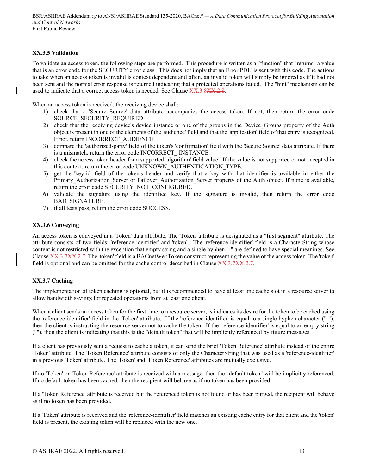## **XX.3.5 Validation**

To validate an access token, the following steps are performed. This procedure is written as a "function" that "returns" a value that is an error code for the SECURITY error class. This does not imply that an Error PDU is sent with this code. The actions to take when an access token is invalid is context dependent and often, an invalid token will simply be ignored as if it had not been sent and the normal error response is returned indicating that a protected operations failed. The "hint" mechanism can be used to indicate that a correct access token is needed. See Clause  $XX.3.8XX.2.8$ .

When an access token is received, the receiving device shall:

- 1) check that a 'Secure Source' data attribute accompanies the access token. If not, then return the error code SOURCE SECURITY REQUIRED.
- 2) check that the receiving device's device instance or one of the groups in the Device\_Groups property of the Auth object is present in one of the elements of the 'audience' field and that the 'application' field of that entry is recognized. If not, return INCORRECT\_AUDIENCE.
- 3) compare the 'authorized-party' field of the token's 'confirmation' field with the 'Secure Source' data attribute. If there is a mismatch, return the error code INCORRECT\_ INSTANCE.
- 4) check the access token header for a supported 'algorithm' field value. If the value is not supported or not accepted in this context, return the error code UNKNOWN\_AUTHENTICATION\_TYPE.
- 5) get the 'key-id' field of the token's header and verify that a key with that identifier is available in either the Primary Authorization Server or Failover Authorization Server property of the Auth object. If none is available, return the error code SECURITY\_NOT\_CONFIGURED.
- 6) validate the signature using the identified key. If the signature is invalid, then return the error code BAD\_SIGNATURE.
- 7) if all tests pass, return the error code SUCCESS.

## **XX.3.6 Conveying**

An access token is conveyed in a 'Token' data attribute. The 'Token' attribute is designated as a "first segment" attribute. The attribute consists of two fields: 'reference-identifier' and 'token'. The 'reference-identifier' field is a CharacterString whose content is not restricted with the exception that empty string and a single hyphen "-" are defined to have special meanings. See Clause XX.3.7XX.2.7. The 'token' field is a BACnetWebToken construct representing the value of the access token. The 'token' field is optional and can be omitted for the cache control described in Clause  $XX.3.7XX.2.7$ .

## **XX.3.7 Caching**

The implementation of token caching is optional, but it is recommended to have at least one cache slot in a resource server to allow bandwidth savings for repeated operations from at least one client.

When a client sends an access token for the first time to a resource server, is indicates its desire for the token to be cached using the 'reference-identifier' field in the 'Token' attribute. If the 'reference-identifier' is equal to a single hyphen character ("-"), then the client is instructing the resource server not to cache the token. If the 'reference-identifier' is equal to an empty string (""), then the client is indicating that this is the "default token" that will be implicitly referenced by future messages.

If a client has previously sent a request to cache a token, it can send the brief 'Token Reference' attribute instead of the entire 'Token' attribute. The 'Token Reference' attribute consists of only the CharacterString that was used as a 'reference-identifier' in a previous 'Token' attribute. The 'Token' and 'Token Reference' attributes are mutually exclusive.

If no 'Token' or 'Token Reference' attribute is received with a message, then the "default token" will be implicitly referenced. If no default token has been cached, then the recipient will behave as if no token has been provided.

If a 'Token Reference' attribute is received but the referenced token is not found or has been purged, the recipient will behave as if no token has been provided.

If a 'Token' attribute is received and the 'reference-identifier' field matches an existing cache entry for that client and the 'token' field is present, the existing token will be replaced with the new one.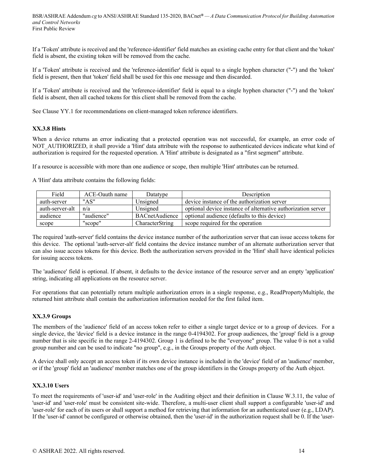If a 'Token' attribute is received and the 'reference-identifier' field matches an existing cache entry for that client and the 'token' field is absent, the existing token will be removed from the cache.

If a 'Token' attribute is received and the 'reference-identifier' field is equal to a single hyphen character ("-") and the 'token' field is present, then that 'token' field shall be used for this one message and then discarded.

If a 'Token' attribute is received and the 'reference-identifier' field is equal to a single hyphen character ("-") and the 'token' field is absent, then all cached tokens for this client shall be removed from the cache.

See Clause YY.1 for recommendations on client-managed token reference identifiers.

#### **XX.3.8 Hints**

When a device returns an error indicating that a protected operation was not successful, for example, an error code of NOT\_AUTHORIZED, it shall provide a 'Hint' data attribute with the response to authenticated devices indicate what kind of authorization is required for the requested operation. A 'Hint' attribute is designated as a "first segment" attribute.

If a resource is accessible with more than one audience or scope, then multiple 'Hint' attributes can be returned.

A 'Hint' data attribute contains the following fields:

| Field           | ACE-Oauth name | Datatype        | Description                                                  |
|-----------------|----------------|-----------------|--------------------------------------------------------------|
| auth-server     | "AS"           | Unsigned        | device instance of the authorization server                  |
| auth-server-alt | n/a            | Unsigned        | optional device instance of alternative authorization server |
| audience        | "audience"     | BACnetAudience  | optional audience (defaults to this device)                  |
| scope           | "scope"        | CharacterString | scope required for the operation                             |

The required 'auth-server' field contains the device instance number of the authorization server that can issue access tokens for this device. The optional 'auth-server-alt' field contains the device instance number of an alternate authorization server that can also issue access tokens for this device. Both the authorization servers provided in the 'Hint' shall have identical policies for issuing access tokens.

The 'audience' field is optional. If absent, it defaults to the device instance of the resource server and an empty 'application' string, indicating all applications on the resource server.

For operations that can potentially return multiple authorization errors in a single response, e.g., ReadPropertyMultiple, the returned hint attribute shall contain the authorization information needed for the first failed item.

#### **XX.3.9 Groups**

The members of the 'audience' field of an access token refer to either a single target device or to a group of devices. For a single device, the 'device' field is a device instance in the range 0-4194302. For group audiences, the 'group' field is a group number that is site specific in the range 2-4194302. Group 1 is defined to be the "everyone" group. The value 0 is not a valid group number and can be used to indicate "no group", e.g., in the Groups property of the Auth object.

A device shall only accept an access token if its own device instance is included in the 'device' field of an 'audience' member, or if the 'group' field an 'audience' member matches one of the group identifiers in the Groups property of the Auth object.

#### **XX.3.10 Users**

To meet the requirements of 'user-id' and 'user-role' in the Auditing object and their definition in Clause W.3.11, the value of 'user-id' and 'user-role' must be consistent site-wide. Therefore, a multi-user client shall support a configurable 'user-id' and 'user-role' for each of its users or shall support a method for retrieving that information for an authenticated user (e.g., LDAP). If the 'user-id' cannot be configured or otherwise obtained, then the 'user-id' in the authorization request shall be 0. If the 'user-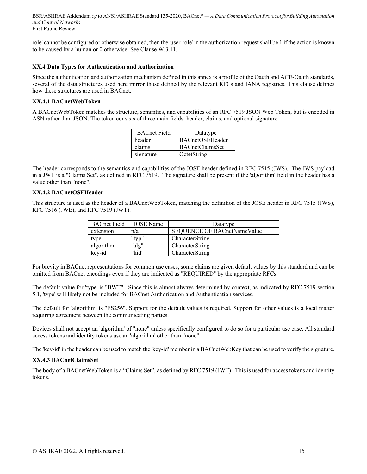role' cannot be configured or otherwise obtained, then the 'user-role' in the authorization request shall be 1 if the action is known to be caused by a human or 0 otherwise. See Clause W.3.11.

#### **XX.4 Data Types for Authentication and Authorization**

Since the authentication and authorization mechanism defined in this annex is a profile of the Oauth and ACE-Oauth standards, several of the data structures used here mirror those defined by the relevant RFCs and IANA registries. This clause defines how these structures are used in BACnet.

### **XX.4.1 BACnetWebToken**

A BACnetWebToken matches the structure, semantics, and capabilities of an RFC 7519 JSON Web Token, but is encoded in ASN rather than JSON. The token consists of three main fields: header, claims, and optional signature.

| <b>BACnet Field</b> | Datatype               |
|---------------------|------------------------|
| header              | <b>BACnetOSEHeader</b> |
| claims              | <b>BACnetClaimsSet</b> |
| signature           | OctetString            |

The header corresponds to the semantics and capabilities of the JOSE header defined in RFC 7515 (JWS). The JWS payload in a JWT is a "Claims Set", as defined in RFC 7519. The signature shall be present if the 'algorithm' field in the header has a value other than "none".

#### **XX.4.2 BACnetOSEHeader**

This structure is used as the header of a BACnetWebToken, matching the definition of the JOSE header in RFC 7515 (JWS), RFC 7516 (JWE), and RFC 7519 (JWT).

| <b>BACnet Field</b> | JOSE Name | Datatype                           |
|---------------------|-----------|------------------------------------|
| extension           | n/a       | <b>SEQUENCE OF BACnetNameValue</b> |
| type                | "typ"     | CharacterString                    |
| algorithm           | "alg"     | CharacterString                    |
| key-id              | "kid"     | CharacterString                    |

For brevity in BACnet representations for common use cases, some claims are given default values by this standard and can be omitted from BACnet encodings even if they are indicated as "REQUIRED" by the appropriate RFCs.

The default value for 'type' is "BWT". Since this is almost always determined by context, as indicated by RFC 7519 section 5.1, 'type' will likely not be included for BACnet Authorization and Authentication services.

The default for 'algorithm' is "ES256". Support for the default values is required. Support for other values is a local matter requiring agreement between the communicating parties.

Devices shall not accept an 'algorithm' of "none" unless specifically configured to do so for a particular use case. All standard access tokens and identity tokens use an 'algorithm' other than "none".

The 'key-id' in the header can be used to match the 'key-id' member in a BACnetWebKey that can be used to verify the signature.

#### **XX.4.3 BACnetClaimsSet**

The body of a BACnetWebToken is a "Claims Set", as defined by RFC 7519 (JWT). This is used for access tokens and identity tokens.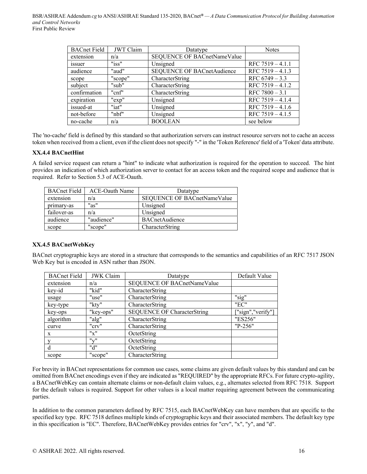| <b>BACnet Field</b> | <b>JWT</b> Claim | Datatype                          | <b>Notes</b>       |
|---------------------|------------------|-----------------------------------|--------------------|
| extension           | n/a              | SEQUENCE OF BACnetNameValue       |                    |
| issuer              | "iss"            | Unsigned                          | RFC $7519 - 4.1.1$ |
| audience            | "aud"            | <b>SEQUENCE OF BACnetAudience</b> | RFC $7519 - 4.1.3$ |
| scope               | "scope"          | CharacterString                   | RFC $6749 - 3.3$   |
| subject             | "sub"            | CharacterString                   | RFC 7519 - 4.1.2   |
| confirmation        | "cnf"            | CharacterString                   | RFC $7800 - 3.1$   |
| expiration          | "exp"            | Unsigned                          | RFC $7519 - 4.1.4$ |
| issued-at           | "iat"            | Unsigned                          | RFC 7519 - 4.1.6   |
| not-before          | "nbf"            | Unsigned                          | RFC 7519 - 4.1.5   |
| no-cache            | n/a              | <b>BOOLEAN</b>                    | see below          |

The 'no-cache' field is defined by this standard so that authorization servers can instruct resource servers not to cache an access token when received from a client, even if the client does not specify "-" in the 'Token Reference' field of a 'Token' data attribute.

## **XX.4.4 BACnetHint**

A failed service request can return a "hint" to indicate what authorization is required for the operation to succeed. The hint provides an indication of which authorization server to contact for an access token and the required scope and audience that is required. Refer to Section 5.3 of ACE-Oauth.

| <b>BACnet Field</b> | ACE-Oauth Name | Datatype                    |
|---------------------|----------------|-----------------------------|
| extension           | n/a            | SEQUENCE OF BACnetNameValue |
| primary-as          | "as"           | Unsigned                    |
| failover-as         | n/a            | Unsigned                    |
| audience            | "audience"     | <b>BACnetAudience</b>       |
| scope               | "scope"        | CharacterString             |

## **XX.4.5 BACnetWebKey**

BACnet cryptographic keys are stored in a structure that corresponds to the semantics and capabilities of an RFC 7517 JSON Web Key but is encoded in ASN rather than JSON.

| <b>BACnet Field</b> | <b>JWK</b> Claim                    | Default Value<br>Datatype                               |         |
|---------------------|-------------------------------------|---------------------------------------------------------|---------|
| extension           | n/a                                 | SEQUENCE OF BACnetNameValue                             |         |
| key-id              | "kid"                               | CharacterString                                         |         |
| usage               | "use"                               | CharacterString                                         | "sig"   |
| key-type            | "kty"                               | CharacterString                                         | "EC"    |
| key-ops             | "key-ops"                           | <b>SEQUENCE OF CharacterString</b><br>["sign","verify"] |         |
| algorithm           | "alg"                               | CharacterString                                         | "ES256" |
| curve               | "crv"                               | CharacterString                                         | "P-256" |
| $\mathbf{X}$        | "x"                                 | OctetString                                             |         |
|                     | $\mathbf{u}_{\mathbf{v}}\mathbf{u}$ | OctetString                                             |         |
| d                   | "d"                                 | OctetString                                             |         |
| scope               | "scope"                             | CharacterString                                         |         |

For brevity in BACnet representations for common use cases, some claims are given default values by this standard and can be omitted from BACnet encodings even if they are indicated as "REQUIRED" by the appropriate RFCs. For future crypto-agility, a BACnetWebKey can contain alternate claims or non-default claim values, e.g., alternates selected from RFC 7518. Support for the default values is required. Support for other values is a local matter requiring agreement between the communicating parties.

In addition to the common parameters defined by RFC 7515, each BACnetWebKey can have members that are specific to the specified key type. RFC 7518 defines multiple kinds of cryptographic keys and their associated members. The default key type in this specification is "EC". Therefore, BACnetWebKey provides entries for "crv", "x", "y", and "d".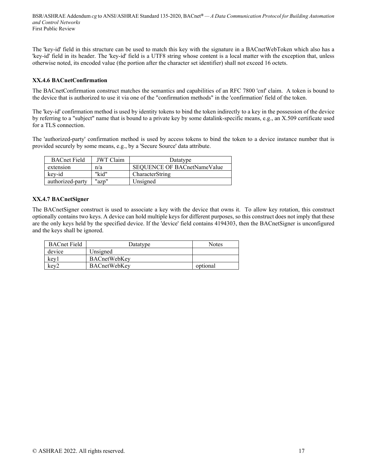The 'key-id' field in this structure can be used to match this key with the signature in a BACnetWebToken which also has a 'key-id' field in its header. The 'key-id' field is a UTF8 string whose content is a local matter with the exception that, unless otherwise noted, its encoded value (the portion after the character set identifier) shall not exceed 16 octets.

## **XX.4.6 BACnetConfirmation**

The BACnetConfirmation construct matches the semantics and capabilities of an RFC 7800 'cnf' claim. A token is bound to the device that is authorized to use it via one of the "confirmation methods" in the 'confirmation' field of the token.

The 'key-id' confirmation method is used by identity tokens to bind the token indirectly to a key in the possession of the device by referring to a "subject" name that is bound to a private key by some datalink-specific means, e.g., an X.509 certificate used for a TLS connection.

The 'authorized-party' confirmation method is used by access tokens to bind the token to a device instance number that is provided securely by some means, e.g., by a 'Secure Source' data attribute.

| <b>BACnet Field</b> | JWT Claim | Datatype                           |
|---------------------|-----------|------------------------------------|
| extension           | n/a       | <b>SEOUENCE OF BACnetNameValue</b> |
| key-id              | "kid"     | CharacterString                    |
| authorized-party    | "azp"     | Unsigned                           |

## **XX.4.7 BACnetSigner**

The BACnetSigner construct is used to associate a key with the device that owns it. To allow key rotation, this construct optionally contains two keys. A device can hold multiple keys for different purposes, so this construct does not imply that these are the only keys held by the specified device. If the 'device' field contains 4194303, then the BACnetSigner is unconfigured and the keys shall be ignored.

| <b>BACnet Field</b> | Datatype            | <b>Notes</b> |
|---------------------|---------------------|--------------|
| device              | Unsigned            |              |
| key1                | BACnetWebKey        |              |
| key2                | <b>BACnetWebKey</b> | optional     |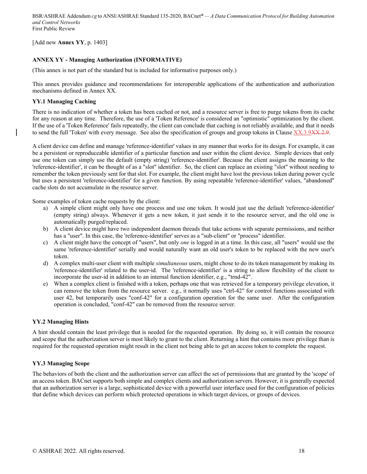[Add new **Annex YY**, p. 1403]

## **ANNEX YY - Managing Authorization (INFORMATIVE)**

(This annex is not part of the standard but is included for informative purposes only.)

This annex provides guidance and recommendations for interoperable applications of the authentication and authorization mechanisms defined in Annex XX.

### **YY.1 Managing Caching**

There is no indication of whether a token has been cached or not, and a resource server is free to purge tokens from its cache for any reason at any time. Therefore, the use of a 'Token Reference' is considered an "optimistic" optimization by the client. If the use of a 'Token Reference' fails repeatedly, the client can conclude that caching is not reliably available, and that it needs to send the full 'Token' with every message. See also the specification of groups and group tokens in Clause XX.3.9XX.2.9.

A client device can define and manage 'reference-identifier' values in any manner that works for its design. For example, it can be a persistent or reproduceable identifier of a particular function and user within the client device. Simple devices that only use one token can simply use the default (empty string) 'reference-identifier'. Because the client assigns the meaning to the 'reference-identifier', it can be thought of as a "slot" identifier. So, the client can replace an existing "slot" without needing to remember the token previously sent for that slot. For example, the client might have lost the previous token during power cycle but uses a persistent 'reference-identifier' for a given function. By using repeatable 'reference-identifier' values, "abandoned" cache slots do not accumulate in the resource server.

Some examples of token cache requests by the client:

- a) A simple client might only have one process and use one token. It would just use the default 'reference-identifier' (empty string) always. Whenever it gets a new token, it just sends it to the resource server, and the old one is automatically purged/replaced.
- b) A client device might have two independent daemon threads that take actions with separate permissions, and neither has a "user". In this case, the 'reference-identifier' serves as a "sub-client" or "process" identifier.
- c) A client might have the concept of "users", but only *one* is logged in at a time. In this case, all "users" would use the same 'reference-identifier' serially and would naturally want an old user's token to be replaced with the new user's token.
- d) A complex multi-user client with multiple *simultaneous* users, might chose to do its token management by making its 'reference-identifier' related to the user-id. The 'reference-identifier' is a string to allow flexibility of the client to incorporate the user-id in addition to an internal function identifier, e.g., "trnd-42".
- e) When a complex client is finished with a token, perhaps one that was retrieved for a temporary privilege elevation, it can remove the token from the resource server. e.g., it normally uses "ctrl-42" for control functions associated with user 42, but temporarily uses "conf-42" for a configuration operation for the same user. After the configuration operation is concluded, "conf-42" can be removed from the resource server.

## **YY.2 Managing Hints**

A hint should contain the least privilege that is needed for the requested operation. By doing so, it will contain the resource and scope that the authorization server is most likely to grant to the client. Returning a hint that contains more privilege than is required for the requested operation might result in the client not being able to get an access token to complete the request.

## **YY.3 Managing Scope**

The behaviors of both the client and the authorization server can affect the set of permissions that are granted by the 'scope' of an access token. BACnet supports both simple and complex clients and authorization servers. However, it is generally expected that an authorization server is a large, sophisticated device with a powerful user interface used for the configuration of policies that define which devices can perform which protected operations in which target devices, or groups of devices.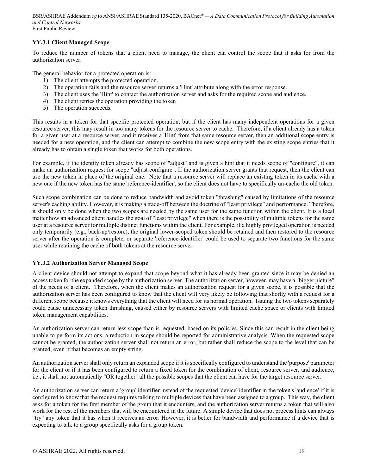## **YY.3.1 Client Managed Scope**

To reduce the number of tokens that a client need to manage, the client can control the scope that it asks for from the authorization server.

The general behavior for a protected operation is:

- 1) The client attempts the protected operation.
- 2) The operation fails and the resource server returns a 'Hint' attribute along with the error response.
- 3) The client uses the 'Hint' to contact the authorization server and asks for the required scope and audience.
- 4) The client retries the operation providing the token
- 5) The operation succeeds.

This results in a token for that specific protected operation, but if the client has many independent operations for a given resource server, this may result in too many tokens for the resource server to cache. Therefore, if a client already has a token for a given user at a resource server, and it receives a 'Hint' from that same resource server, then an additional scope entry is needed for a new operation, and the client can attempt to combine the new scope entry with the existing scope entries that it already has to obtain a single token that works for both operations.

For example, if the identity token already has scope of "adjust" and is given a hint that it needs scope of "configure", it can make an authorization request for scope "adjust configure". If the authorization server grants that request, then the client can use the new token in place of the original one. Note that a resource server will replace an existing token in its cache with a new one if the new token has the same 'reference-identifier', so the client does not have to specifically un-cache the old token.

Such scope combination can be done to reduce bandwidth and avoid token "thrashing" caused by limitations of the resource server's caching ability. However, it is making a trade-off between the doctrine of "least privilege" and performance. Therefore, it should only be done when the two scopes are needed by the same user for the same function within the client. It is a local matter how an advanced client handles the goal of "least privilege" when there is the possibility of multiple tokens for the same user at a resource server for multiple distinct functions within the client. For example, if a highly privileged operation is needed only temporarily (e.g., back-up/restore), the original lower-scoped token should be retained and then restored to the resource server after the operation is complete, or separate 'reference-identifier' could be used to separate two functions for the same user while retaining the cache of both tokens at the resource server.

## **YY.3.2 Authorization Server Managed Scope**

A client device should not attempt to expand that scope beyond what it has already been granted since it may be denied an access token for the expanded scope by the authorization server. The authorization server, however, may have a "bigger picture" of the needs of a client. Therefore, when the client makes an authorization request for a given scope, it is possible that the authorization server has been configured to know that the client will very likely be following that shortly with a request for a different scope because it knows everything that the client will need for its normal operation. Issuing the two tokens separately could cause unnecessary token thrashing, caused either by resource servers with limited cache space or clients with limited token management capabilities.

An authorization server can return less scope than is requested, based on its policies. Since this can result in the client being unable to perform its actions, a reduction in scope should be reported for administrative analysis. When the requested scope cannot be granted, the authorization server shall not return an error, but rather shall reduce the scope to the level that can be granted, even if that becomes an empty string.

An authorization server shall only return an expanded scope if it is specifically configured to understand the 'purpose' parameter for the client or if it has been configured to return a fixed token for the combination of client, resource server, and audience, i.e., it shall not automatically "OR together" all the possible scopes that the client can have for the target resource server.

An authorization server can return a 'group' identifier instead of the requested 'device' identifier in the token's 'audience' if it is configured to know that the request requires talking to multiple devices that have been assigned to a group. This way, the client asks for a token for the first member of the group that it encounters, and the authorization server returns a token that will also work for the rest of the members that will be encountered in the future. A simple device that does not process hints can always "try" any token that it has when it receives an error. However, it is better for bandwidth and performance if a device that is expecting to talk to a group specifically asks for a group token.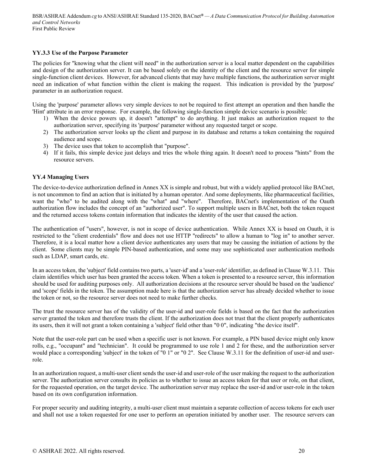## **YY.3.3 Use of the Purpose Parameter**

The policies for "knowing what the client will need" in the authorization server is a local matter dependent on the capabilities and design of the authorization server. It can be based solely on the identity of the client and the resource server for simple single-function client devices. However, for advanced clients that may have multiple functions, the authorization server might need an indication of what function within the client is making the request. This indication is provided by the 'purpose' parameter in an authorization request.

Using the 'purpose' parameter allows very simple devices to not be required to first attempt an operation and then handle the 'Hint' attribute in an error response. For example, the following single-function simple device scenario is possible:

- 1) When the device powers up, it doesn't "attempt" to do anything. It just makes an authorization request to the authorization server, specifying its 'purpose' parameter without any requested target or scope.
- 2) The authorization server looks up the client and purpose in its database and returns a token containing the required audience and scope.
- 3) The device uses that token to accomplish that "purpose".
- 4) If it fails, this simple device just delays and tries the whole thing again. It doesn't need to process "hints" from the resource servers.

## **YY.4 Managing Users**

The device-to-device authorization defined in Annex XX is simple and robust, but with a widely applied protocol like BACnet, is not uncommon to find an action that is initiated by a human operator. And some deployments, like pharmaceutical facilities, want the "who" to be audited along with the "what" and "where". Therefore, BACnet's implementation of the Oauth authorization flow includes the concept of an "authorized user". To support multiple users in BACnet, both the token request and the returned access tokens contain information that indicates the identity of the user that caused the action.

The authentication of "users", however, is not in scope of device authentication. While Annex XX is based on Oauth, it is restricted to the "client credentials" flow and does not use HTTP "redirects" to allow a human to "log in" to another server. Therefore, it is a local matter how a client device authenticates any users that may be causing the initiation of actions by the client. Some clients may be simple PIN-based authentication, and some may use sophisticated user authentication methods such as LDAP, smart cards, etc.

In an access token, the 'subject' field contains two parts, a 'user-id' and a 'user-role' identifier, as defined in Clause W.3.11. This claim identifies which user has been granted the access token. When a token is presented to a resource server, this information should be used for auditing purposes only. All authorization decisions at the resource server should be based on the 'audience' and 'scope' fields in the token. The assumption made here is that the authorization server has already decided whether to issue the token or not, so the resource server does not need to make further checks.

The trust the resource server has of the validity of the user-id and user-role fields is based on the fact that the authorization server granted the token and therefore trusts the client. If the authorization does not trust that the client properly authenticates its users, then it will not grant a token containing a 'subject' field other than "0 0", indicating "the device itself".

Note that the user-role part can be used when a specific user is not known. For example, a PIN based device might only know rolls, e.g., "occupant" and "technician". It could be programmed to use role 1 and 2 for these, and the authorization server would place a corresponding 'subject' in the token of "0 1" or "0 2". See Clause W.3.11 for the definition of user-id and userrole.

In an authorization request, a multi-user client sends the user-id and user-role of the user making the request to the authorization server. The authorization server consults its policies as to whether to issue an access token for that user or role, on that client, for the requested operation, on the target device. The authorization server may replace the user-id and/or user-role in the token based on its own configuration information.

For proper security and auditing integrity, a multi-user client must maintain a separate collection of access tokens for each user and shall not use a token requested for one user to perform an operation initiated by another user. The resource servers can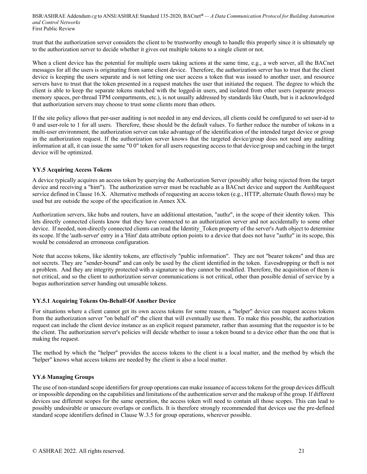trust that the authorization server considers the client to be trustworthy enough to handle this properly since it is ultimately up to the authorization server to decide whether it gives out multiple tokens to a single client or not.

When a client device has the potential for multiple users taking actions at the same time, e.g., a web server, all the BACnet messages for all the users is originating from same client device. Therefore, the authorization server has to trust that the client device is keeping the users separate and is not letting one user access a token that was issued to another user, and resource servers have to trust that the token presented in a request matches the user that initiated the request. The degree to which the client is able to keep the separate tokens matched with the logged-in users, and isolated from other users (separate process memory spaces, per-thread TPM compartments, etc.), is not usually addressed by standards like Oauth, but is it acknowledged that authorization servers may choose to trust some clients more than others.

If the site policy allows that per-user auditing is not needed in any end devices, all clients could be configured to set user-id to 0 and user-role to 1 for all users. Therefore, these should be the default values. To further reduce the number of tokens in a multi-user environment, the authorization server can take advantage of the identification of the intended target device or group in the authorization request. If the authorization server knows that the targeted device/group does not need any auditing information at all, it can issue the same "0 0" token for all users requesting access to that device/group and caching in the target device will be optimized.

## **YY.5 Acquiring Access Tokens**

A device typically acquires an access token by querying the Authorization Server (possibly after being rejected from the target device and receiving a "hint"). The authorization server must be reachable as a BACnet device and support the AuthRequest service defined in Clause 16.X. Alternative methods of requesting an access token (e.g., HTTP, alternate Oauth flows) may be used but are outside the scope of the specification in Annex XX.

Authorization servers, like hubs and routers, have an additional attestation, "authz", in the scope of their identity token. This lets directly connected clients know that they have connected to an authorization server and not accidentally to some other device. If needed, non-directly connected clients can read the Identity Token property of the server's Auth object to determine its scope. If the 'auth-server' entry in a 'Hint' data attribute option points to a device that does not have "authz" in its scope, this would be considered an erroneous configuration.

Note that access tokens, like identity tokens, are effectively "public information". They are not "bearer tokens" and thus are not secrets. They are "sender-bound" and can only be used by the client identified in the token. Eavesdropping or theft is not a problem. And they are integrity protected with a signature so they cannot be modified. Therefore, the acquisition of them is not critical, and so the client to authorization server communications is not critical, other than possible denial of service by a bogus authorization server handing out unusable tokens.

## **YY.5.1 Acquiring Tokens On-Behalf-Of Another Device**

For situations where a client cannot get its own access tokens for some reason, a "helper" device can request access tokens from the authorization server "on behalf of" the client that will eventually use them. To make this possible, the authorization request can include the client device instance as an explicit request parameter, rather than assuming that the requestor is to be the client. The authorization server's policies will decide whether to issue a token bound to a device other than the one that is making the request.

The method by which the "helper" provides the access tokens to the client is a local matter, and the method by which the "helper" knows what access tokens are needed by the client is also a local matter.

## **YY.6 Managing Groups**

The use of non-standard scope identifiers for group operations can make issuance of access tokens for the group devices difficult or impossible depending on the capabilities and limitations of the authentication server and the makeup of the group. If different devices use different scopes for the same operation, the access token will need to contain all those scopes. This can lead to possibly undesirable or unsecure overlaps or conflicts. It is therefore strongly recommended that devices use the pre-defined standard scope identifiers defined in Clause W.3.5 for group operations, wherever possible.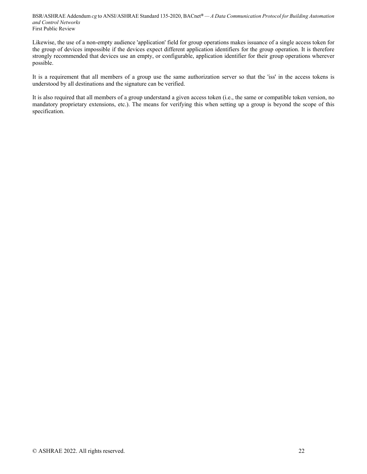Likewise, the use of a non-empty audience 'application' field for group operations makes issuance of a single access token for the group of devices impossible if the devices expect different application identifiers for the group operation. It is therefore strongly recommended that devices use an empty, or configurable, application identifier for their group operations wherever possible.

It is a requirement that all members of a group use the same authorization server so that the 'iss' in the access tokens is understood by all destinations and the signature can be verified.

It is also required that all members of a group understand a given access token (i.e., the same or compatible token version, no mandatory proprietary extensions, etc.). The means for verifying this when setting up a group is beyond the scope of this specification.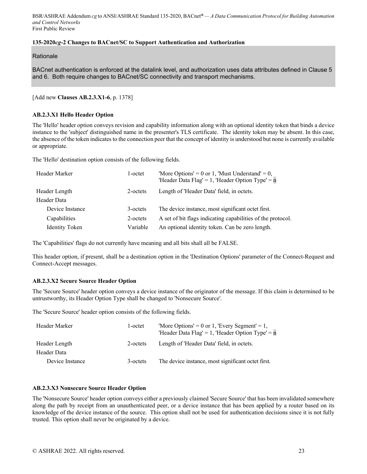## **135-2020***cg***-2 Changes to BACnet/SC to Support Authentication and Authorization**

**Rationale** 

BACnet authentication is enforced at the datalink level, and authorization uses data attributes defined in Clause 5 and 6. Both require changes to BACnet/SC connectivity and transport mechanisms.

[Add new **Clauses AB.2.3.X1-6**, p. 1378]

### **AB.2.3.X1 Hello Header Option**

The 'Hello' header option conveys revision and capability information along with an optional identity token that binds a device instance to the 'subject' distinguished name in the presenter's TLS certificate. The identity token may be absent. In this case, the absence of the token indicates to the connection peer that the concept of identity is understood but none is currently available or appropriate.

The 'Hello' destination option consists of the following fields.

| Header Marker         | 1-octet  | 'More Options' = 0 or 1, 'Must Understand' = 0,<br>'Header Data Flag' = 1, 'Header Option Type' = $n$ |
|-----------------------|----------|-------------------------------------------------------------------------------------------------------|
| Header Length         | 2-octets | Length of 'Header Data' field, in octets.                                                             |
| Header Data           |          |                                                                                                       |
| Device Instance       | 3-octets | The device instance, most significant octet first.                                                    |
| Capabilities          | 2-octets | A set of bit flags indicating capabilities of the protocol.                                           |
| <b>Identity Token</b> | Variable | An optional identity token. Can be zero length.                                                       |

The 'Capabilities' flags do not currently have meaning and all bits shall all be FALSE.

This header option, if present, shall be a destination option in the 'Destination Options' parameter of the Connect-Request and Connect-Accept messages.

## **AB.2.3.X2 Secure Source Header Option**

The 'Secure Source' header option conveys a device instance of the originator of the message. If this claim is determined to be untrustworthy, its Header Option Type shall be changed to 'Nonsecure Source'.

The 'Secure Source' header option consists of the following fields.

| Header Marker   | l-octet  | 'More Options' = 0 or 1, 'Every Segment' = 1,<br>'Header Data Flag' = 1, 'Header Option Type' = $n$ |
|-----------------|----------|-----------------------------------------------------------------------------------------------------|
| Header Length   | 2-octets | Length of 'Header Data' field, in octets.                                                           |
| Header Data     |          |                                                                                                     |
| Device Instance | 3-octets | The device instance, most significant octet first.                                                  |

## **AB.2.3.X3 Nonsecure Source Header Option**

The 'Nonsecure Source' header option conveys either a previously claimed 'Secure Source' that has been invalidated somewhere along the path by receipt from an unauthenticated peer, or a device instance that has been applied by a router based on its knowledge of the device instance of the source. This option shall not be used for authentication decisions since it is not fully trusted. This option shall never be originated by a device.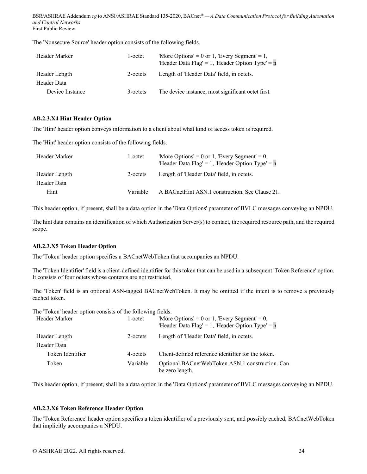The 'Nonsecure Source' header option consists of the following fields.

| Header Marker   | 1-octet  | 'More Options' = 0 or 1, 'Every Segment' = 1,<br>'Header Data Flag' = 1, 'Header Option Type' = $n$ |
|-----------------|----------|-----------------------------------------------------------------------------------------------------|
| Header Length   | 2-octets | Length of 'Header Data' field, in octets.                                                           |
| Header Data     |          |                                                                                                     |
| Device Instance | 3-octets | The device instance, most significant octet first.                                                  |

#### **AB.2.3.X4 Hint Header Option**

The 'Hint' header option conveys information to a client about what kind of access token is required.

The 'Hint' header option consists of the following fields.

| Header Marker | 1-octet  | 'More Options' = 0 or 1, 'Every Segment' = 0,<br>'Header Data Flag' = 1, 'Header Option Type' = $n$ |
|---------------|----------|-----------------------------------------------------------------------------------------------------|
| Header Length | 2-octets | Length of 'Header Data' field, in octets.                                                           |
| Header Data   |          |                                                                                                     |
| Hint          | Variable | A BACnetHint ASN.1 construction. See Clause 21.                                                     |

This header option, if present, shall be a data option in the 'Data Options' parameter of BVLC messages conveying an NPDU.

The hint data contains an identification of which Authorization Server(s) to contact, the required resource path, and the required scope.

## **AB.2.3.X5 Token Header Option**

The 'Token' header option specifies a BACnetWebToken that accompanies an NPDU.

The 'Token Identifier' field is a client-defined identifier for this token that can be used in a subsequent 'Token Reference' option. It consists of four octets whose contents are not restricted.

The 'Token' field is an optional ASN-tagged BACnetWebToken. It may be omitted if the intent is to remove a previously cached token.

The 'Token' header option consists of the following fields.

| Header Marker    | 1-octet  | 'More Options' = 0 or 1, 'Every Segment' = 0,<br>'Header Data Flag' = 1, 'Header Option Type' = $n$ |
|------------------|----------|-----------------------------------------------------------------------------------------------------|
| Header Length    | 2-octets | Length of 'Header Data' field, in octets.                                                           |
| Header Data      |          |                                                                                                     |
| Token Identifier | 4-octets | Client-defined reference identifier for the token.                                                  |
| Token            | Variable | Optional BACnetWebToken ASN.1 construction. Can<br>be zero length.                                  |

This header option, if present, shall be a data option in the 'Data Options' parameter of BVLC messages conveying an NPDU.

## **AB.2.3.X6 Token Reference Header Option**

The 'Token Reference' header option specifies a token identifier of a previously sent, and possibly cached, BACnetWebToken that implicitly accompanies a NPDU.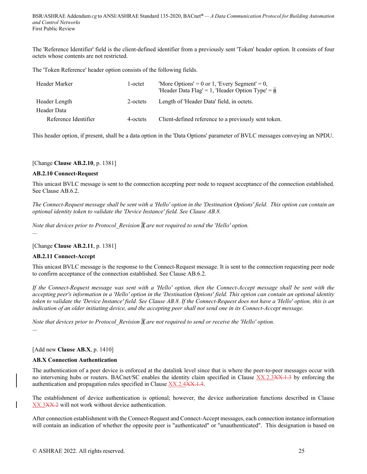The 'Reference Identifier' field is the client-defined identifier from a previously sent 'Token' header option. It consists of four octets whose contents are not restricted.

The 'Token Reference' header option consists of the following fields.

| Header Marker        | 1-octet  | 'More Options' = 0 or 1, 'Every Segment' = 0,<br>'Header Data Flag' = 1, 'Header Option Type' = $n$ |
|----------------------|----------|-----------------------------------------------------------------------------------------------------|
| Header Length        | 2-octets | Length of 'Header Data' field, in octets.                                                           |
| Header Data          |          |                                                                                                     |
| Reference Identifier | 4-octets | Client-defined reference to a previously sent token.                                                |

This header option, if present, shall be a data option in the 'Data Options' parameter of BVLC messages conveying an NPDU.

## [Change **Clause AB.2.10**, p. 1381]

#### **AB.2.10 Connect-Request**

This unicast BVLC message is sent to the connection accepting peer node to request acceptance of the connection established. See Clause AB.6.2.

*The Connect-Request message shall be sent with a 'Hello' option in the 'Destination Options' field. This option can contain an optional identity token to validate the 'Device Instance' field. See Clause AB.8.* 

*Note that devices prior to Protocol\_Revision X are not required to send the 'Hello' option.* 

...

...

[Change **Clause AB.2.11**, p. 1381]

## **AB.2.11 Connect-Accept**

This unicast BVLC message is the response to the Connect-Request message. It is sent to the connection requesting peer node to confirm acceptance of the connection established. See Clause AB.6.2.

*If the Connect-Request message was sent with a 'Hello' option, then the Connect-Accept message shall be sent with the accepting peer's information in a 'Hello' option in the 'Destination Options' field. This option can contain an optional identity token to validate the 'Device Instance' field. See Clause AB.8. If the Connect-Request does not have a 'Hello' option, this is an indication of an older initiating device, and the accepting peer shall not send one in its Connect-Accept message.* 

*Note that devices prior to Protocol\_Revision X are not required to send or receive the 'Hello' option.* 

#### [Add new **Clause AB.X**, p. 1410]

#### **AB.X Connection Authentication**

The authentication of a peer device is enforced at the datalink level since that is where the peer-to-peer messages occur with no intervening hubs or routers. BACnet/SC enables the identity claim specified in Clause XX.2.3XX.1.3 by enforcing the authentication and propagation rules specified in Clause XX.2.4XX.1.4.

The establishment of device authentication is optional; however, the device authorization functions described in Clause XX.3XX.2 will not work without device authentication.

After connection establishment with the Connect-Request and Connect-Accept messages, each connection instance information will contain an indication of whether the opposite peer is "authenticated" or "unauthenticated". This designation is based on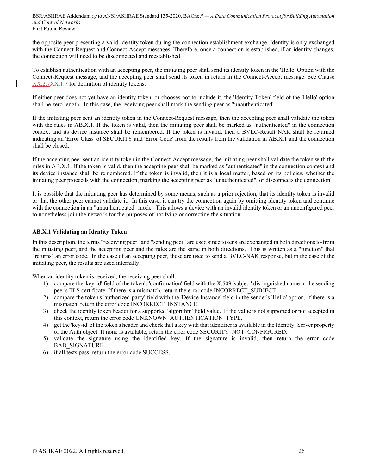the opposite peer presenting a valid identity token during the connection establishment exchange. Identity is only exchanged with the Connect-Request and Connect-Accept messages. Therefore, once a connection is established, if an identity changes, the connection will need to be disconnected and reestablished.

To establish authentication with an accepting peer, the initiating peer shall send its identity token in the 'Hello' Option with the Connect-Request message, and the accepting peer shall send its token in return in the Connect-Accept message. See Clause XX.2.7XX.1.7 for definition of identity tokens.

If either peer does not yet have an identity token, or chooses not to include it, the 'Identity Token' field of the 'Hello' option shall be zero length. In this case, the receiving peer shall mark the sending peer as "unauthenticated".

If the initiating peer sent an identity token in the Connect-Request message, then the accepting peer shall validate the token with the rules in AB.X.1. If the token is valid, then the initiating peer shall be marked as "authenticated" in the connection context and its device instance shall be remembered. If the token is invalid, then a BVLC-Result NAK shall be returned indicating an 'Error Class' of SECURITY and 'Error Code' from the results from the validation in AB.X.1 and the connection shall be closed.

If the accepting peer sent an identity token in the Connect-Accept message, the initiating peer shall validate the token with the rules in AB.X.1. If the token is valid, then the accepting peer shall be marked as "authenticated" in the connection context and its device instance shall be remembered. If the token is invalid, then it is a local matter, based on its policies, whether the initiating peer proceeds with the connection, marking the accepting peer as "unauthenticated", or disconnects the connection.

It is possible that the initiating peer has determined by some means, such as a prior rejection, that its identity token is invalid or that the other peer cannot validate it. In this case, it can try the connection again by omitting identity token and continue with the connection in an "unauthenticated" mode. This allows a device with an invalid identity token or an unconfigured peer to nonetheless join the network for the purposes of notifying or correcting the situation.

## **AB.X.1 Validating an Identity Token**

In this description, the terms "receiving peer" and "sending peer" are used since tokens are exchanged in both directions to/from the initiating peer, and the accepting peer and the rules are the same in both directions. This is written as a "function" that "returns" an error code. In the case of an accepting peer, these are used to send a BVLC-NAK response, but in the case of the initiating peer, the results are used internally.

When an identity token is received, the receiving peer shall:

- 1) compare the 'key-id' field of the token's 'confirmation' field with the X.509 'subject' distinguished name in the sending peer's TLS certificate. If there is a mismatch, return the error code INCORRECT\_SUBJECT.
- 2) compare the token's 'authorized-party' field with the 'Device Instance' field in the sender's 'Hello' option. If there is a mismatch, return the error code INCORRECT\_INSTANCE.
- 3) check the identity token header for a supported 'algorithm' field value. If the value is not supported or not accepted in this context, return the error code UNKNOWN\_AUTHENTICATION\_TYPE.
- 4) get the 'key-id' of the token's header and check that a key with that identifier is available in the Identity\_Server property of the Auth object. If none is available, return the error code SECURITY\_NOT\_CONFIGURED.
- 5) validate the signature using the identified key. If the signature is invalid, then return the error code BAD\_SIGNATURE.
- 6) if all tests pass, return the error code SUCCESS.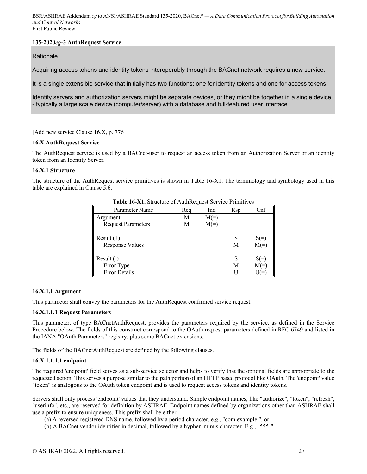## **135-2020***cg***-3 AuthRequest Service**

**Rationale** 

Acquiring access tokens and identity tokens interoperably through the BACnet network requires a new service.

It is a single extensible service that initially has two functions: one for identity tokens and one for access tokens.

Identity servers and authorization servers might be separate devices, or they might be together in a single device - typically a large scale device (computer/server) with a database and full-featured user interface.

[Add new service Clause 16.X, p. 776]

## **16.X AuthRequest Service**

The AuthRequest service is used by a BACnet-user to request an access token from an Authorization Server or an identity token from an Identity Server.

#### **16.X.1 Structure**

The structure of the AuthRequest service primitives is shown in Table 16-X1. The terminology and symbology used in this table are explained in Clause 5.6.

| Parameter Name                         | Req | Ind    | Rsp    | C <sub>nf</sub>  |
|----------------------------------------|-----|--------|--------|------------------|
| Argument                               | М   | $M(=)$ |        |                  |
| <b>Request Parameters</b>              | M   | $M(=)$ |        |                  |
| Result $(+)$<br><b>Response Values</b> |     |        | S<br>M | $S(=)$<br>$M(=)$ |
| Result $(-)$                           |     |        | S      | $S(=)$           |
| Error Type                             |     |        | M      | $M(=)$           |
| <b>Error Details</b>                   |     |        |        |                  |

**Table 16-X1.** Structure of AuthRequest Service Primitives

## **16.X.1.1 Argument**

This parameter shall convey the parameters for the AuthRequest confirmed service request.

## **16.X.1.1.1 Request Parameters**

This parameter, of type BACnetAuthRequest, provides the parameters required by the service, as defined in the Service Procedure below. The fields of this construct correspond to the OAuth request parameters defined in RFC 6749 and listed in the IANA "OAuth Parameters" registry, plus some BACnet extensions.

The fields of the BACnetAuthRequest are defined by the following clauses.

## **16.X.1.1.1.1 endpoint**

The required 'endpoint' field serves as a sub-service selector and helps to verify that the optional fields are appropriate to the requested action. This serves a purpose similar to the path portion of an HTTP based protocol like OAuth. The 'endpoint' value "token" is analogous to the OAuth token endpoint and is used to request access tokens and identity tokens.

Servers shall only process 'endpoint' values that they understand. Simple endpoint names, like "authorize", "token", "refresh", "userinfo", etc., are reserved for definition by ASHRAE. Endpoint names defined by organizations other than ASHRAE shall use a prefix to ensure uniqueness. This prefix shall be either:

- (a) A reversed registered DNS name, followed by a period character, e.g., "com.example.", or
- (b) A BACnet vendor identifier in decimal, followed by a hyphen-minus character. E.g., "555-"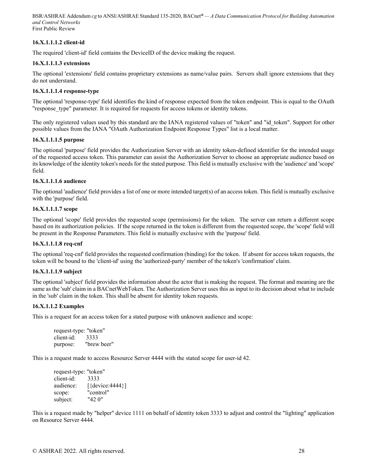## **16.X.1.1.1.2 client-id**

The required 'client-id' field contains the DeviceID of the device making the request.

### **16.X.1.1.1.3 extensions**

The optional 'extensions' field contains proprietary extensions as name/value pairs. Servers shall ignore extensions that they do not understand.

#### **16.X.1.1.1.4 response-type**

The optional 'response-type' field identifies the kind of response expected from the token endpoint. This is equal to the OAuth "response type" parameter. It is required for requests for access tokens or identity tokens.

The only registered values used by this standard are the IANA registered values of "token" and "id\_token". Support for other possible values from the IANA "OAuth Authorization Endpoint Response Types" list is a local matter.

#### **16.X.1.1.1.5 purpose**

The optional 'purpose' field provides the Authorization Server with an identity token-defined identifier for the intended usage of the requested access token. This parameter can assist the Authorization Server to choose an appropriate audience based on its knowledge of the identity token's needs for the stated purpose. This field is mutually exclusive with the 'audience' and 'scope' field.

## **16.X.1.1.1.6 audience**

The optional 'audience' field provides a list of one or more intended target(s) of an access token. This field is mutually exclusive with the 'purpose' field.

#### **16.X.1.1.1.7 scope**

The optional 'scope' field provides the requested scope (permissions) for the token. The server can return a different scope based on its authorization policies. If the scope returned in the token is different from the requested scope, the 'scope' field will be present in the Response Parameters. This field is mutually exclusive with the 'purpose' field.

#### **16.X.1.1.1.8 req-cnf**

The optional 'req-cnf' field provides the requested confirmation (binding) for the token. If absent for access token requests, the token will be bound to the 'client-id' using the 'authorized-party' member of the token's 'confirmation' claim.

## **16.X.1.1.1.9 subject**

The optional 'subject' field provides the information about the actor that is making the request. The format and meaning are the same as the 'sub' claim in a BACnetWebToken. The Authorization Server uses this as input to its decision about what to include in the 'sub' claim in the token. This shall be absent for identity token requests.

## **16.X.1.1.2 Examples**

This is a request for an access token for a stated purpose with unknown audience and scope:

```
request-type: "token" 
client-id: 3333 
purpose: "brew beer"
```
This is a request made to access Resource Server 4444 with the stated scope for user-id 42.

request-type: "token" client-id: 3333 audience: [{device: 4444}] scope: "control" subject: "42 0"

This is a request made by "helper" device 1111 on behalf of identity token 3333 to adjust and control the "lighting" application on Resource Server 4444.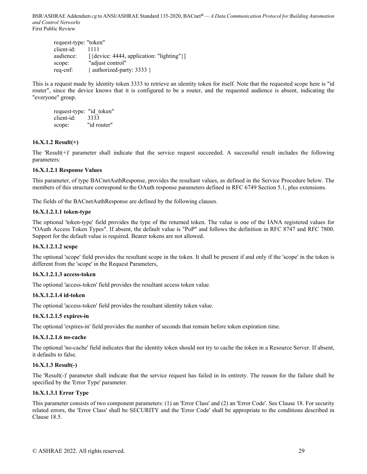request-type: "token" client-id: 1111 audience: [{device: 4444, application: "lighting"}] scope: "adjust control" req-cnf: { authorized-party: 3333 }

This is a request made by identity token 3333 to retrieve an identity token for itself. Note that the requested scope here is "id router", since the device knows that it is configured to be a router, and the requested audience is absent, indicating the "everyone" group.

request-type: "id\_token" client-id: 3333 scope: "id router"

## **16.X.1.2 Result(+)**

The 'Result(+)' parameter shall indicate that the service request succeeded. A successful result includes the following parameters:

## **16.X.1.2.1 Response Values**

This parameter, of type BACnetAuthResponse, provides the resultant values, as defined in the Service Procedure below. The members of this structure correspond to the OAuth response parameters defined in RFC 6749 Section 5.1, plus extensions.

The fields of the BACnetAuthResponse are defined by the following clauses.

## **16.X.1.2.1.1 token-type**

The optional 'token-type' field provides the type of the returned token. The value is one of the IANA registered values for "OAuth Access Token Types". If absent, the default value is "PoP" and follows the definition in RFC 8747 and RFC 7800. Support for the default value is required. Bearer tokens are not allowed.

## **16.X.1.2.1.2 scope**

The optional 'scope' field provides the resultant scope in the token. It shall be present if and only if the 'scope' in the token is different from the 'scope' in the Request Parameters,

## **16.X.1.2.1.3 access-token**

The optional 'access-token' field provides the resultant access token value.

## **16.X.1.2.1.4 id-token**

The optional 'access-token' field provides the resultant identity token value.

## **16.X.1.2.1.5 expires-in**

The optional 'expires-in' field provides the number of seconds that remain before token expiration time.

## **16.X.1.2.1.6 no-cache**

The optional 'no-cache' field indicates that the identity token should not try to cache the token in a Resource Server. If absent, it defaults to false.

## **16.X.1.3 Result(-)**

The 'Result(-)' parameter shall indicate that the service request has failed in its entirety. The reason for the failure shall be specified by the 'Error Type' parameter.

## **16.X.1.3.1 Error Type**

This parameter consists of two component parameters: (1) an 'Error Class' and (2) an 'Error Code'. See Clause 18. For security related errors, the 'Error Class' shall be SECURITY and the 'Error Code' shall be appropriate to the conditions described in Clause 18.5.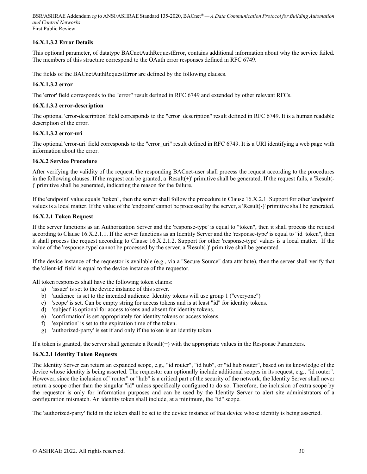## **16.X.1.3.2 Error Details**

This optional parameter, of datatype BACnetAuthRequestError, contains additional information about why the service failed. The members of this structure correspond to the OAuth error responses defined in RFC 6749.

The fields of the BACnetAuthRequestError are defined by the following clauses.

### **16.X.1.3.2 error**

The 'error' field corresponds to the "error" result defined in RFC 6749 and extended by other relevant RFCs.

#### **16.X.1.3.2 error-description**

The optional 'error-description' field corresponds to the "error\_description" result defined in RFC 6749. It is a human readable description of the error.

#### **16.X.1.3.2 error-uri**

The optional 'error-uri' field corresponds to the "error uri" result defined in RFC 6749. It is a URI identifying a web page with information about the error.

#### **16.X.2 Service Procedure**

After verifying the validity of the request, the responding BACnet-user shall process the request according to the procedures in the following clauses. If the request can be granted, a 'Result(+)' primitive shall be generated. If the request fails, a 'Result(-)' primitive shall be generated, indicating the reason for the failure.

If the 'endpoint' value equals "token", then the server shall follow the procedure in Clause 16.X.2.1. Support for other 'endpoint' values is a local matter. If the value of the 'endpoint' cannot be processed by the server, a 'Result(-)' primitive shall be generated.

#### **16.X.2.1 Token Request**

If the server functions as an Authorization Server and the 'response-type' is equal to "token", then it shall process the request according to Clause 16.X.2.1.1. If the server functions as an Identity Server and the 'response-type' is equal to "id token", then it shall process the request according to Clause 16.X.2.1.2. Support for other 'response-type' values is a local matter. If the value of the 'response-type' cannot be processed by the server, a 'Result(-)' primitive shall be generated.

If the device instance of the requestor is available (e.g., via a "Secure Source" data attribute), then the server shall verify that the 'client-id' field is equal to the device instance of the requestor.

All token responses shall have the following token claims:

- a) 'issuer' is set to the device instance of this server.
- b) 'audience' is set to the intended audience. Identity tokens will use group 1 ("everyone")
- c) 'scope' is set. Can be empty string for access tokens and is at least "id" for identity tokens.
- d) 'subject' is optional for access tokens and absent for identity tokens.
- e) 'confirmation' is set appropriately for identity tokens or access tokens.
- f) 'expiration' is set to the expiration time of the token.
- g) 'authorized-party' is set if and only if the token is an identity token.

If a token is granted, the server shall generate a Result(+) with the appropriate values in the Response Parameters.

## **16.X.2.1 Identity Token Requests**

The Identity Server can return an expanded scope, e.g., "id router", "id hub", or "id hub router", based on its knowledge of the device whose identity is being asserted. The requestor can optionally include additional scopes in its request, e.g., "id router". However, since the inclusion of "router" or "hub" is a critical part of the security of the network, the Identity Server shall never return a scope other than the singular "id" unless specifically configured to do so. Therefore, the inclusion of extra scope by the requestor is only for information purposes and can be used by the Identity Server to alert site administrators of a configuration mismatch. An identity token shall include, at a minimum, the "id" scope.

The 'authorized-party' field in the token shall be set to the device instance of that device whose identity is being asserted.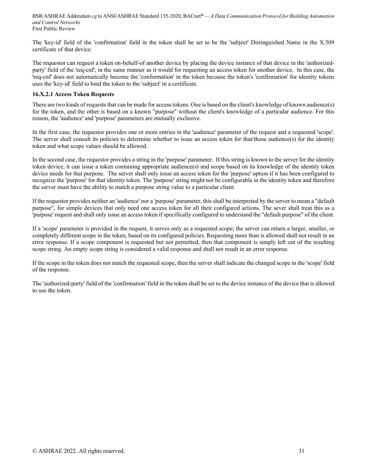The 'key-id' field of the 'confirmation' field in the token shall be set to be the 'subject' Distinguished Name in the X.509 certificate of that device.

The requestor can request a token on-behalf-of another device by placing the device instance of that device in the 'authorizedparty' field of the 'req-cnf', in the same manner as it would for requesting an access token for another device. In this case, the 'req-cnf' does not automatically become the 'conformation' in the token because the token's 'confirmation' for identity tokens uses the 'key-id' field to bind the token to the 'subject' in a certificate.

### **16.X.2.1 Access Token Requests**

There are two kinds of requests that can be made for access tokens. One is based on the client's knowledge of known audience(s) for the token, and the other is based on a known "purpose" without the client's knowledge of a particular audience. For this reason, the 'audience' and 'purpose' parameters are mutually exclusive.

In the first case, the requestor provides one or more entries in the 'audience' parameter of the request and a requested 'scope'. The server shall consult its policies to determine whether to issue an access token for that/those audience(s) for the identity token and what scope values should be allowed.

In the second case, the requestor provides a string in the 'purpose' parameter. If this string is known to the server for the identity token device, it can issue a token containing appropriate audience(s) and scope based on its knowledge of the identity token device needs for that purpose. The server shall only issue an access token for the 'purpose' option if it has been configured to recognize the 'purpose' for that identity token. The 'purpose' string might not be configurable in the identity token and therefore the server must have the ability to match a purpose string value to a particular client.

If the requestor provides neither an 'audience' nor a 'purpose' parameter, this shall be interpreted by the server to mean a "default purpose", for simple devices that only need one access token for all their configured actions. The sever shall treat this as a 'purpose' request and shall only issue an access token if specifically configured to understand the "default purpose" of the client.

If a 'scope' parameter is provided in the request, it serves only as a requested scope; the server can return a larger, smaller, or completely different scope in the token, based on its configured policies. Requesting more than is allowed shall not result in an error response. If a scope component is requested but not permitted, then that component is simply left out of the resulting scope string. An empty scope string is considered a valid response and shall not result in an error response.

If the scope in the token does not match the requested scope, then the server shall indicate the changed scope in the 'scope' field of the response.

The 'authorized-party' field of the 'confirmation' field in the token shall be set to the device instance of the device that is allowed to use the token.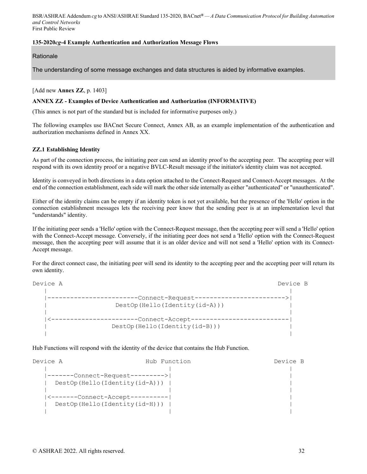## **135-2020***cg***-4 Example Authentication and Authorization Message Flows**

**Rationale** 

The understanding of some message exchanges and data structures is aided by informative examples.

[Add new **Annex ZZ**, p. 1403]

#### **ANNEX ZZ - Examples of Device Authentication and Authorization (INFORMATIVE)**

(This annex is not part of the standard but is included for informative purposes only.)

The following examples use BACnet Secure Connect, Annex AB, as an example implementation of the authentication and authorization mechanisms defined in Annex XX.

#### **ZZ.1 Establishing Identity**

As part of the connection process, the initiating peer can send an identity proof to the accepting peer. The accepting peer will respond with its own identity proof or a negative BVLC-Result message if the initiator's identity claim was not accepted.

Identity is conveyed in both directions in a data option attached to the Connect-Request and Connect-Accept messages. At the end of the connection establishment, each side will mark the other side internally as either "authenticated" or "unauthenticated".

Either of the identity claims can be empty if an identity token is not yet available, but the presence of the 'Hello' option in the connection establishment messages lets the receiving peer know that the sending peer is at an implementation level that "understands" identity.

If the initiating peer sends a 'Hello' option with the Connect-Request message, then the accepting peer will send a 'Hello' option with the Connect-Accept message. Conversely, if the initiating peer does not send a 'Hello' option with the Connect-Request message, then the accepting peer will assume that it is an older device and will not send a 'Hello' option with its Connect-Accept message.

For the direct connect case, the initiating peer will send its identity to the accepting peer and the accepting peer will return its own identity.

Device A Device B | | |------------------------Connect-Request------------------------>| | DestOp(Hello(Identity(id-A))) | | | |<-----------------------Connect-Accept--------------------------| | DestOp(Hello(Identity(id-B))) | | |

Hub Functions will respond with the identity of the device that contains the Hub Function.

| Device A | Hub Function                     | Device B |
|----------|----------------------------------|----------|
|          |                                  |          |
|          | -------Connect-Request---------> |          |
|          | DestOp(Hello(Identity(id-A)))    |          |
|          |                                  |          |
|          | <-------Connect-Accept---------- |          |
|          | DestOp(Hello(Identity(id-H)))    |          |
|          |                                  |          |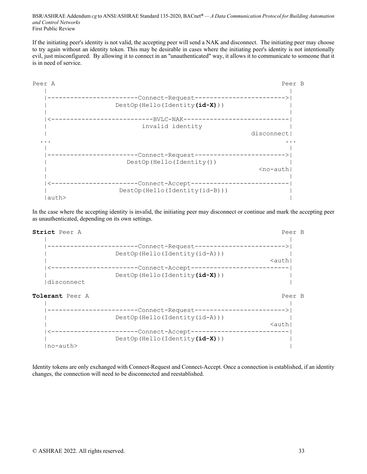If the initiating peer's identity is not valid, the accepting peer will send a NAK and disconnect. The initiating peer may choose to try again without an identity token. This may be desirable in cases where the initiating peer's identity is not intentionally evil, just misconfigured. By allowing it to connect in an "unauthenticated" way, it allows it to communicate to someone that it is in need of service.



In the case where the accepting identity is invalid, the initiating peer may disconnect or continue and mark the accepting peer as unauthenticated, depending on its own settings.



Identity tokens are only exchanged with Connect-Request and Connect-Accept. Once a connection is established, if an identity changes, the connection will need to be disconnected and reestablished.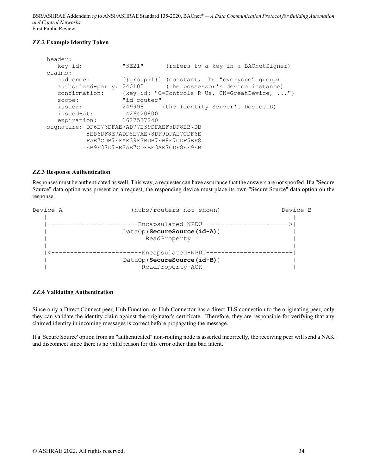## **ZZ.2 Example Identity Token**

| header:                                     |                                  |                                               |
|---------------------------------------------|----------------------------------|-----------------------------------------------|
| key-id:                                     | "3E21"                           | (refers to a key in a BACnetSigner)           |
| claims:                                     |                                  |                                               |
| audience:                                   |                                  | [{group:1}] (constant, the "everyone" group)  |
| authorized-party: 240105                    |                                  | (the possessor's device instance)             |
| confirmation:                               |                                  | {key-id: "O=Controls-R-Us, CN=GreatDevice, "} |
| scope:                                      | "id router"                      |                                               |
| issuer:                                     | 249998                           | (the Identity Server's DeviceID)              |
| issued-at:                                  | 1426420800                       |                                               |
| expiration:                                 | 1627537240                       |                                               |
| signature: DF6E76DFAE7AD77E39DFAEF5DF8EB7DB |                                  |                                               |
|                                             | 8EB6DF8E7ADF8E7AE78DF9DFAE7CDF6E |                                               |
|                                             | FAE7CDB7EFAE39F3BDB7EB8E7CDF5EF8 |                                               |
|                                             | EB9F37D7BE3AE7CDFBE3AE7CDF8EF9EB |                                               |

#### **ZZ.3 Response Authentication**

Responses must be authenticated as well. This way, a requester can have assurance that the answers are not spoofed. If a "Secure Source" data option was present on a request, the responding device must place its own "Secure Source" data option on the response.

| Device A | (hubs/routers not shown)     | Device B |
|----------|------------------------------|----------|
|          |                              |          |
|          | -Encapsulated-NPDU--         |          |
|          | DataOp (SecureSource (id-A)) |          |
|          | ReadProperty                 |          |
|          | -Encapsulated-NPDU-          |          |
|          | DataOp (SecureSource (id-B)) |          |
|          | ReadProperty-ACK             |          |

#### **ZZ.4 Validating Authentication**

Since only a Direct Connect peer, Hub Function, or Hub Connector has a direct TLS connection to the originating peer, only they can validate the identity claim against the originator's certificate. Therefore, they are responsible for verifying that any claimed identity in incoming messages is correct before propagating the message.

If a 'Secure Source' option from an "authenticated" non-routing node is asserted incorrectly, the receiving peer will send a NAK and disconnect since there is no valid reason for this error other than bad intent.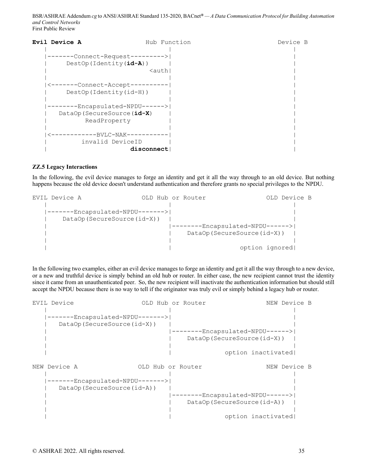| Evil Device A |                                  |                                                    | Hub Function | Device B |  |
|---------------|----------------------------------|----------------------------------------------------|--------------|----------|--|
|               |                                  |                                                    |              |          |  |
|               | -Connect-Request--------->       |                                                    |              |          |  |
|               | $DestOp(Identity(id-A))$         |                                                    |              |          |  |
|               |                                  | <auth < th=""><th></th><th></th><th></th></auth <> |              |          |  |
|               |                                  |                                                    |              |          |  |
|               | <-------Connect-Accept---------- |                                                    |              |          |  |
|               | $DestOp(Identity(id-H))$         |                                                    |              |          |  |
|               |                                  |                                                    |              |          |  |
|               | -Encapsulated-NPDU------>        |                                                    |              |          |  |
|               | DataOp (SecureSource (id-X)      |                                                    |              |          |  |
|               | ReadProperty                     |                                                    |              |          |  |
|               |                                  |                                                    |              |          |  |
|               | ----------BVLC-NAK-----------    |                                                    |              |          |  |
|               | invalid DeviceID                 |                                                    |              |          |  |
|               |                                  | disconnect                                         |              |          |  |

#### **ZZ.5 Legacy Interactions**

In the following, the evil device manages to forge an identity and get it all the way through to an old device. But nothing happens because the old device doesn't understand authentication and therefore grants no special privileges to the NPDU.

```
EVIL Device A OLD Hub or Router OLD Device B 
  | | | 
  |-------Encapsulated-NPDU------->| | 
  | DataOp(SecureSource(id-X)) | | 
  | |--------Encapsulated-NPDU------>| 
  | | DataOp(SecureSource(id-X)) | 
 | | | 
  | | option ignored|
```
In the following two examples, either an evil device manages to forge an identity and get it all the way through to a new device, or a new and truthful device is simply behind an old hub or router. In either case, the new recipient cannot trust the identity since it came from an unauthenticated peer. So, the new recipient will inactivate the authentication information but should still accept the NPDU because there is no way to tell if the originator was truly evil or simply behind a legacy hub or router.

| EVIL Device                         |  | OLD Hub or Router            | NEW Device B              |
|-------------------------------------|--|------------------------------|---------------------------|
|                                     |  |                              |                           |
| ------Encapsulated-NPDU------->     |  |                              |                           |
| DataOp (SecureSource (id-X))        |  |                              |                           |
|                                     |  |                              | -Encapsulated-NPDU------> |
|                                     |  | DataOp (SecureSource (id-X)) |                           |
|                                     |  |                              |                           |
|                                     |  |                              | option inactivated        |
|                                     |  |                              |                           |
|                                     |  |                              |                           |
| NEW Device A                        |  | OLD Hub or Router            | NEW Device B              |
|                                     |  |                              |                           |
| -Encapsulated-NPDU-------> <br>---- |  |                              |                           |
| DataOp (SecureSource (id-A))        |  |                              |                           |
|                                     |  |                              | -Encapsulated-NPDU------> |
|                                     |  | DataOp(SecureSource(id-A))   |                           |
|                                     |  |                              |                           |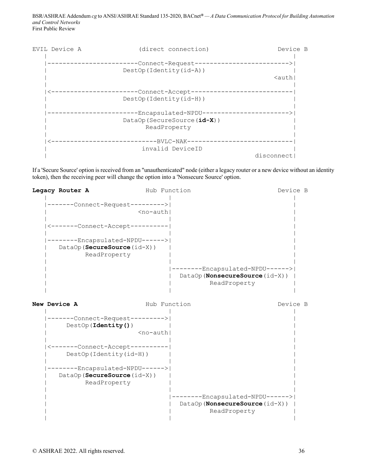

If a 'Secure Source' option is received from an "unauthenticated" node (either a legacy router or a new device without an identity token), then the receiving peer will change the option into a 'Nonsecure Source' option.

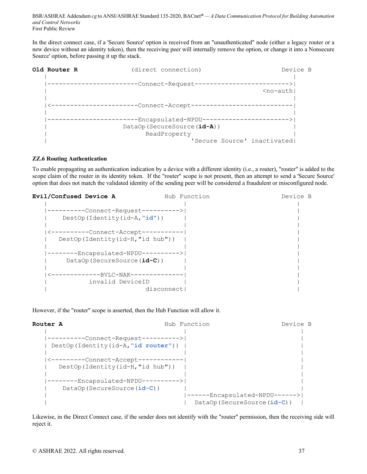In the direct connect case, if a 'Secure Source' option is received from an "unauthenticated" node (either a legacy router or a new device without an identity token), then the receiving peer will internally remove the option, or change it into a Nonsecure Source' option, before passing it up the stack.



#### **ZZ.6 Routing Authentication**

To enable propagating an authentication indication by a device with a different identity (i.e., a router), "router" is added to the scope claim of the router in its identity token. If the "router" scope is not present, then an attempt to send a 'Secure Source' option that does not match the validated identity of the sending peer will be considered a fraudulent or misconfigured node.

| Evil/Confused Device A           | Hub Function | Device B |
|----------------------------------|--------------|----------|
|                                  |              |          |
| -Connect-Request---------->      |              |          |
| DestOp(Identity(id-A, "id"))     |              |          |
|                                  |              |          |
| <----------Connect-Accept-       | ---------    |          |
| DestOp(Identity(id-H, "id hub")) |              |          |
|                                  |              |          |
| -Encapsulated-NPDU---------->    |              |          |
| DataOp (SecureSource (id-C))     |              |          |
|                                  |              |          |
| -----------BVLC-NAK-             |              |          |
| invalid DeviceID                 |              |          |
|                                  | disconnect   |          |

However, if the "router" scope is asserted, then the Hub Function will allow it.



Likewise, in the Direct Connect case, if the sender does not identify with the "router" permission, then the receiving side will reject it.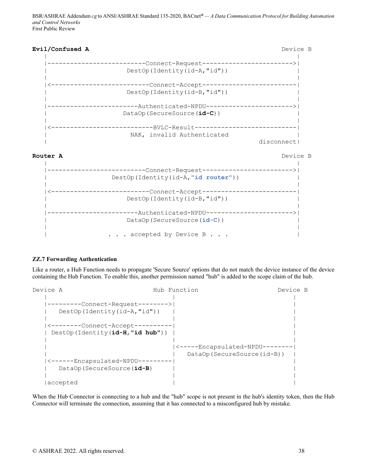

**Router A** Device B



## **ZZ.7 Forwarding Authentication**

Like a router, a Hub Function needs to propagate 'Secure Source' options that do not match the device instance of the device containing the Hub Function. To enable this, another permission named "hub" is added to the scope claim of the hub.

| Device A |                                       | Hub Function                    | Device B |
|----------|---------------------------------------|---------------------------------|----------|
|          |                                       |                                 |          |
|          | -Connect-Request-------->             |                                 |          |
|          | DestOp(Identity(id-A, "id"))          |                                 |          |
|          |                                       |                                 |          |
|          | <--------Connect-Accept-              |                                 |          |
|          | DestOp (Identity $(id-H, "id hub")$ ) |                                 |          |
|          |                                       |                                 |          |
|          |                                       | <-----Encapsulated-NPDU-------- |          |
|          |                                       | DataOp (SecureSource(id-B))     |          |
|          | <------Encapsulated-NPDU-             |                                 |          |
|          | DataOp (SecureSource (id-B)           |                                 |          |
|          |                                       |                                 |          |
|          | accepted                              |                                 |          |

When the Hub Connector is connecting to a hub and the "hub" scope is not present in the hub's identity token, then the Hub Connector will terminate the connection, assuming that it has connected to a misconfigured hub by mistake.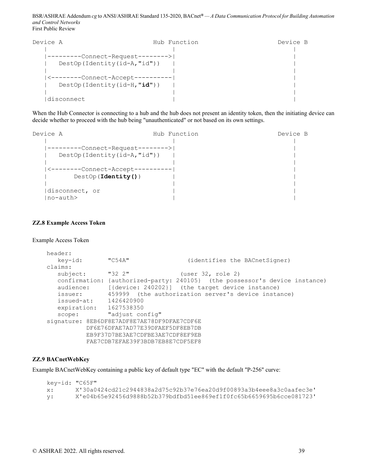| Device A |                                   | Hub Function | Device B |
|----------|-----------------------------------|--------------|----------|
|          |                                   |              |          |
|          | -Connect-Request-------->         |              |          |
|          | $DestOp(Identity(id-A,''id''))$   |              |          |
|          |                                   |              |          |
|          | <--------Connect-Accept-          |              |          |
|          | DestOp (Identity $(id-H, "id")$ ) |              |          |
|          |                                   |              |          |
|          | disconnect                        |              |          |

When the Hub Connector is connecting to a hub and the hub does not present an identity token, then the initiating device can decide whether to proceed with the hub being "unauthenticated" or not based on its own settings.

| Device A |                                   | Hub Function | Device B |
|----------|-----------------------------------|--------------|----------|
|          |                                   |              |          |
|          | -------Connect-Request-------->   |              |          |
|          | DestOp (Identity $(id-A, "id")$ ) |              |          |
|          |                                   |              |          |
|          | <--------Connect-Accept-          |              |          |
|          | $DestOp$ (Identity ())            |              |          |
|          |                                   |              |          |
|          | disconnect, or                    |              |          |
|          | $no$ -auth $>$                    |              |          |

#### **ZZ.8 Example Access Token**

Example Access Token

```
header:<br>key-id: "C54A"
                                        (identifies the BACnetSigner)
    claims: 
      subject: "32 2" (user 32, role 2)
       confirmation: {authorized-party: 240105} (the possessor's device instance) 
 audience: [{device: 240202}] (the target device instance) 
 issuer: 459999 (the authorization server's device instance) 
       issued-at: 1426420900 
       expiration: 1627538350 
      scope: "adjust config"
    signature: 8EB6DF8E7ADF8E7AE78DF9DFAE7CDF6E 
              DF6E76DFAE7AD77E39DFAEF5DF8EB7DB 
              EB9F37D7BE3AE7CDFBE3AE7CDF8EF9EB 
              FAE7CDB7EFAE39F3BDB7EB8E7CDF5EF8
```
#### **ZZ.9 BACnetWebKey**

Example BACnetWebKey containing a public key of default type "EC" with the default "P-256" curve:

```
 key-id: "C65F" 
 x: X'30a0424cd21c2944838a2d75c92b37e76ea20d9f00893a3b4eee8a3c0aafec3e' 
 y: X'e04b65e92456d9888b52b379bdfbd51ee869ef1f0fc65b6659695b6cce081723'
```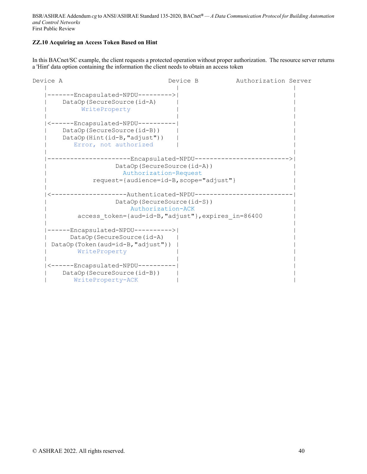## **ZZ.10 Acquiring an Access Token Based on Hint**

In this BACnet/SC example, the client requests a protected operation without proper authorization. The resource server returns a 'Hint' data option containing the information the client needs to obtain an access token

| Device A                           | Device B                                            | Authorization Server |
|------------------------------------|-----------------------------------------------------|----------------------|
| ------Encapsulated-NPDU--------->  |                                                     |                      |
| DataOp (SecureSource (id-A)        |                                                     |                      |
|                                    |                                                     |                      |
| WriteProperty                      |                                                     |                      |
|                                    |                                                     |                      |
| <------Encapsulated-NPDU---------- |                                                     |                      |
| DataOp (SecureSource(id-B))        |                                                     |                      |
| DataOp(Hint(id-B, "adjust"))       |                                                     |                      |
| Error, not authorized              |                                                     |                      |
|                                    |                                                     |                      |
|                                    | -Encapsulated-NPDU---                               |                      |
|                                    | DataOp (SecureSource (id-A))                        |                      |
|                                    | Authorization-Request                               |                      |
|                                    | request={audience=id-B, scope="adjust"}             |                      |
|                                    |                                                     |                      |
|                                    | -------Authenticated-NPDU----                       |                      |
|                                    | DataOp (SecureSource (id-S))                        |                      |
|                                    | Authorization-ACK                                   |                      |
|                                    |                                                     |                      |
|                                    | access token={aud=id-B, "adjust"}, expires in=86400 |                      |
|                                    |                                                     |                      |
| -----Encapsulated-NPDU---------->  |                                                     |                      |
| DataOp (SecureSource (id-A)        |                                                     |                      |
| DataOp(Token(aud=id-B, "adjust"))  |                                                     |                      |
| WriteProperty                      |                                                     |                      |
|                                    |                                                     |                      |
| <------Encapsulated-NPDU---------- |                                                     |                      |
| DataOp (SecureSource(id-B))        |                                                     |                      |
| WriteProperty-ACK                  |                                                     |                      |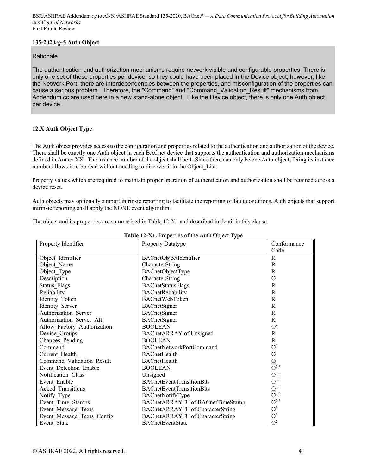## **135-2020***cg***-5 Auth Object**

## **Rationale**

The authentication and authorization mechanisms require network visible and configurable properties. There is only one set of these properties per device, so they could have been placed in the Device object; however, like the Network Port, there are interdependencies between the properties, and misconfiguration of the properties can cause a serious problem. Therefore, the "Command" and "Command\_Validation\_Result" mechanisms from Addendum cc are used here in a new stand-alone object. Like the Device object, there is only one Auth object per device.

## **12.X Auth Object Type**

The Auth object provides access to the configuration and properties related to the authentication and authorization of the device. There shall be exactly one Auth object in each BACnet device that supports the authentication and authorization mechanisms defined in Annex XX. The instance number of the object shall be 1. Since there can only be one Auth object, fixing its instance number allows it to be read without needing to discover it in the Object\_List.

Property values which are required to maintain proper operation of authentication and authorization shall be retained across a device reset.

Auth objects may optionally support intrinsic reporting to facilitate the reporting of fault conditions. Auth objects that support intrinsic reporting shall apply the NONE event algorithm.

The object and its properties are summarized in Table 12-X1 and described in detail in this clause.

| Property Identifier         | <b>Property Datatype</b>          | Conformance    |
|-----------------------------|-----------------------------------|----------------|
|                             |                                   | Code           |
| Object Identifier           | BACnetObjectIdentifier            | R              |
| Object Name                 | CharacterString                   | R              |
| Object_Type                 | BACnetObjectType                  | R              |
| Description                 | CharacterString                   | $\Omega$       |
| <b>Status Flags</b>         | BACnetStatusFlags                 | R              |
| Reliability                 | BACnetReliability                 | R              |
| Identity Token              | BACnetWebToken                    | R              |
| Identity Server             | BACnetSigner                      | R              |
| Authorization_Server        | BACnetSigner                      | R              |
| Authorization Server Alt    | BACnetSigner                      | R              |
| Allow Factory Authorization | <b>BOOLEAN</b>                    | O <sup>4</sup> |
| Device Groups               | <b>BACnetARRAY</b> of Unsigned    | R              |
| Changes Pending             | <b>BOOLEAN</b>                    | $\mathbb{R}$   |
| Command                     | <b>BACnetNetworkPortCommand</b>   | O <sup>1</sup> |
| Current Health              | BACnetHealth                      | $\Omega$       |
| Command Validation Result   | <b>BACnetHealth</b>               | $\Omega$       |
| Event Detection Enable      | <b>BOOLEAN</b>                    | $O^{2,3}$      |
| Notification Class          | Unsigned                          | $O^{2,3}$      |
| Event Enable                | <b>BACnetEventTransitionBits</b>  | $O^{2,3}$      |
| Acked Transitions           | <b>BACnetEventTransitionBits</b>  | $O^{2,3}$      |
| Notify Type                 | BACnetNotifyType                  | $O^{2,3}$      |
| Event_Time_Stamps           | BACnetARRAY[3] of BACnetTimeStamp | $O^{2,3}$      |
| Event Message Texts         | BACnetARRAY[3] of CharacterString | $O^3$          |
| Event Message Texts Config  | BACnetARRAY[3] of CharacterString | O <sup>3</sup> |
| Event State                 | <b>BACnetEventState</b>           | O <sup>2</sup> |

## **Table 12-X1.** Properties of the Auth Object Type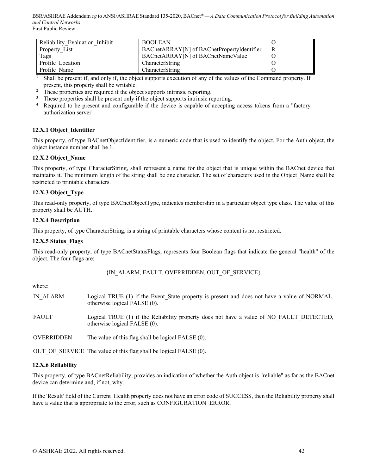| Reliability Evaluation Inhibit | <b>BOOLEAN</b>                             |   |
|--------------------------------|--------------------------------------------|---|
| <b>Property List</b>           | BACnetARRAY[N] of BACnetPropertyIdentifier | R |
| Tags                           | BACnetARRAY[N] of BACnetNameValue          |   |
| Profile Location               | CharacterString                            |   |
| l Profile Name                 | CharacterString                            |   |

<sup>1</sup> Shall be present if, and only if, the object supports execution of any of the values of the Command property. If

- 
- present, this property shall be writable.<br>
<sup>2</sup> These properties are required if the object supports intrinsic reporting.<br>
<sup>3</sup> These properties shall be present only if the object supports intrinsic reporting.<br>
<sup>4</sup> Required authorization server"

## **12.X.1 Object\_Identifier**

This property, of type BACnetObjectIdentifier, is a numeric code that is used to identify the object. For the Auth object, the object instance number shall be 1.

## **12.X.2 Object\_Name**

This property, of type CharacterString, shall represent a name for the object that is unique within the BACnet device that maintains it. The minimum length of the string shall be one character. The set of characters used in the Object\_Name shall be restricted to printable characters.

## **12.X.3 Object\_Type**

This read-only property, of type BACnetObjectType, indicates membership in a particular object type class. The value of this property shall be AUTH.

## **12.X.4 Description**

This property, of type CharacterString, is a string of printable characters whose content is not restricted.

## **12.X.5 Status\_Flags**

This read-only property, of type BACnetStatusFlags, represents four Boolean flags that indicate the general "health" of the object. The four flags are:

{IN\_ALARM, FAULT, OVERRIDDEN, OUT\_OF\_SERVICE}

where:

| IN ALARM          | Logical TRUE (1) if the Event State property is present and does not have a value of NORMAL,<br>otherwise logical FALSE (0). |
|-------------------|------------------------------------------------------------------------------------------------------------------------------|
| FAULT             | Logical TRUE (1) if the Reliability property does not have a value of NO FAULT DETECTED,<br>otherwise logical FALSE (0).     |
| <b>OVERRIDDEN</b> | The value of this flag shall be logical FALSE (0).                                                                           |

OUT\_OF\_SERVICE The value of this flag shall be logical FALSE (0).

#### **12.X.6 Reliability**

This property, of type BACnetReliability, provides an indication of whether the Auth object is "reliable" as far as the BACnet device can determine and, if not, why.

If the 'Result' field of the Current\_Health property does not have an error code of SUCCESS, then the Reliability property shall have a value that is appropriate to the error, such as CONFIGURATION ERROR.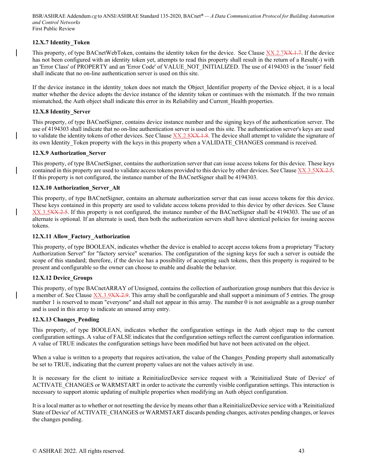## **12.X.7 Identity\_Token**

This property, of type BACnetWebToken, contains the identity token for the device. See Clause XX.2.7XX.1.7. If the device has not been configured with an identity token yet, attempts to read this property shall result in the return of a Result(-) with an 'Error Class' of PROPERTY and an 'Error Code' of VALUE\_NOT\_INITIALIZED. The use of 4194303 in the 'issuer' field shall indicate that no on-line authentication server is used on this site.

If the device instance in the identity token does not match the Object Identifier property of the Device object, it is a local matter whether the device adopts the device instance of the identity token or continues with the mismatch. If the two remain mismatched, the Auth object shall indicate this error in its Reliability and Current\_Health properties.

## **12.X.8 Identity\_Server**

This property, of type BACnetSigner, contains device instance number and the signing keys of the authentication server. The use of 4194303 shall indicate that no on-line authentication server is used on this site. The authentication server's keys are used to validate the identity tokens of other devices. See Clause XX.2.8XX.1.8. The device shall attempt to validate the signature of its own Identity Token property with the keys in this property when a VALIDATE CHANGES command is received.

## **12.X.9 Authorization\_Server**

This property, of type BACnetSigner, contains the authorization server that can issue access tokens for this device. These keys contained in this property are used to validate access tokens provided to this device by other devices. See Clause XX.3.5XX.2.5. If this property is not configured, the instance number of the BACnetSigner shall be 4194303.

## **12.X.10 Authorization\_Server\_Alt**

This property, of type BACnetSigner, contains an alternate authorization server that can issue access tokens for this device. These keys contained in this property are used to validate access tokens provided to this device by other devices. See Clause XX.3.5XX.2.5. If this property is not configured, the instance number of the BACnetSigner shall be 4194303. The use of an alternate is optional. If an alternate is used, then both the authorization servers shall have identical policies for issuing access tokens.

### **12.X.11 Allow\_Factory\_Authorization**

This property, of type BOOLEAN, indicates whether the device is enabled to accept access tokens from a proprietary "Factory Authorization Server" for "factory service" scenarios. The configuration of the signing keys for such a server is outside the scope of this standard; therefore, if the device has a possibility of accepting such tokens, then this property is required to be present and configurable so the owner can choose to enable and disable the behavior.

## **12.X.12 Device\_Groups**

This property, of type BACnetARRAY of Unsigned, contains the collection of authorization group numbers that this device is a member of. See Clause XX.3.9XX.2.9. This array shall be configurable and shall support a minimum of 5 entries. The group number 1 is reserved to mean "everyone" and shall not appear in this array. The number 0 is not assignable as a group number and is used in this array to indicate an unused array entry.

## **12.X.13 Changes\_Pending**

This property, of type BOOLEAN, indicates whether the configuration settings in the Auth object map to the current configuration settings. A value of FALSE indicates that the configuration settings reflect the current configuration information. A value of TRUE indicates the configuration settings have been modified but have not been activated on the object.

When a value is written to a property that requires activation, the value of the Changes Pending property shall automatically be set to TRUE, indicating that the current property values are not the values actively in use.

It is necessary for the client to initiate a ReinitializeDevice service request with a 'Reinitialized State of Device' of ACTIVATE\_CHANGES or WARMSTART in order to activate the currently visible configuration settings. This interaction is necessary to support atomic updating of multiple properties when modifying an Auth object configuration.

It is a local matter as to whether or not resetting the device by means other than a ReinitializeDevice service with a 'Reinitialized State of Device' of ACTIVATE\_CHANGES or WARMSTART discards pending changes, activates pending changes, or leaves the changes pending.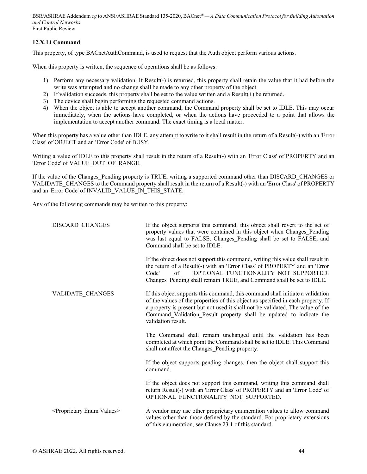## **12.X.14 Command**

This property, of type BACnetAuthCommand, is used to request that the Auth object perform various actions.

When this property is written, the sequence of operations shall be as follows:

- 1) Perform any necessary validation. If Result(-) is returned, this property shall retain the value that it had before the write was attempted and no change shall be made to any other property of the object.
- 2) If validation succeeds, this property shall be set to the value written and a Result(+) be returned.
- 3) The device shall begin performing the requested command actions.
- 4) When the object is able to accept another command, the Command property shall be set to IDLE. This may occur immediately, when the actions have completed, or when the actions have proceeded to a point that allows the implementation to accept another command. The exact timing is a local matter.

When this property has a value other than IDLE, any attempt to write to it shall result in the return of a Result(-) with an 'Error Class' of OBJECT and an 'Error Code' of BUSY.

Writing a value of IDLE to this property shall result in the return of a Result(-) with an 'Error Class' of PROPERTY and an 'Error Code' of VALUE\_OUT\_OF\_RANGE.

If the value of the Changes\_Pending property is TRUE, writing a supported command other than DISCARD\_CHANGES or VALIDATE\_CHANGES to the Command property shall result in the return of a Result(-) with an 'Error Class' of PROPERTY and an 'Error Code' of INVALID\_VALUE\_IN\_THIS\_STATE.

Any of the following commands may be written to this property:

| DISCARD CHANGES                               | If the object supports this command, this object shall revert to the set of<br>property values that were contained in this object when Changes Pending<br>was last equal to FALSE. Changes Pending shall be set to FALSE, and<br>Command shall be set to IDLE.                                                                                    |
|-----------------------------------------------|---------------------------------------------------------------------------------------------------------------------------------------------------------------------------------------------------------------------------------------------------------------------------------------------------------------------------------------------------|
|                                               | If the object does not support this command, writing this value shall result in<br>the return of a Result(-) with an 'Error Class' of PROPERTY and an 'Error<br>OPTIONAL FUNCTIONALITY NOT SUPPORTED.<br>Code'<br>of<br>Changes Pending shall remain TRUE, and Command shall be set to IDLE.                                                      |
| VALIDATE CHANGES                              | If this object supports this command, this command shall initiate a validation<br>of the values of the properties of this object as specified in each property. If<br>a property is present but not used it shall not be validated. The value of the<br>Command Validation Result property shall be updated to indicate the<br>validation result. |
|                                               | The Command shall remain unchanged until the validation has been<br>completed at which point the Command shall be set to IDLE. This Command<br>shall not affect the Changes Pending property.                                                                                                                                                     |
|                                               | If the object supports pending changes, then the object shall support this<br>command.                                                                                                                                                                                                                                                            |
|                                               | If the object does not support this command, writing this command shall<br>return Result(-) with an 'Error Class' of PROPERTY and an 'Error Code' of<br>OPTIONAL_FUNCTIONALITY_NOT_SUPPORTED.                                                                                                                                                     |
| <proprietary enum="" values=""></proprietary> | A vendor may use other proprietary enumeration values to allow command<br>values other than those defined by the standard. For proprietary extensions<br>of this enumeration, see Clause 23.1 of this standard.                                                                                                                                   |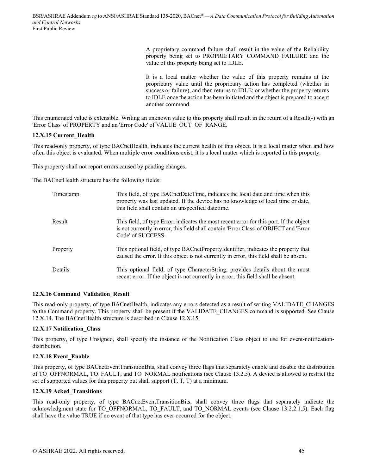A proprietary command failure shall result in the value of the Reliability property being set to PROPRIETARY\_COMMAND\_FAILURE and the value of this property being set to IDLE.

It is a local matter whether the value of this property remains at the proprietary value until the proprietary action has completed (whether in success or failure), and then returns to IDLE; or whether the property returns to IDLE once the action has been initiated and the object is prepared to accept another command.

This enumerated value is extensible. Writing an unknown value to this property shall result in the return of a Result(-) with an 'Error Class' of PROPERTY and an 'Error Code' of VALUE\_OUT\_OF\_RANGE.

## **12.X.15 Current\_Health**

This read-only property, of type BACnetHealth, indicates the current health of this object. It is a local matter when and how often this object is evaluated. When multiple error conditions exist, it is a local matter which is reported in this property.

This property shall not report errors caused by pending changes.

The BACnetHealth structure has the following fields:

| Timestamp | This field, of type BACnetDateTime, indicates the local date and time when this<br>property was last updated. If the device has no knowledge of local time or date,<br>this field shall contain an unspecified date time. |
|-----------|---------------------------------------------------------------------------------------------------------------------------------------------------------------------------------------------------------------------------|
| Result    | This field, of type Error, indicates the most recent error for this port. If the object<br>is not currently in error, this field shall contain 'Error Class' of OBJECT and 'Error<br>Code' of SUCCESS.                    |
| Property  | This optional field, of type BACnetPropertyIdentifier, indicates the property that<br>caused the error. If this object is not currently in error, this field shall be absent.                                             |
| Details   | This optional field, of type CharacterString, provides details about the most<br>recent error. If the object is not currently in error, this field shall be absent.                                                       |

## **12.X.16 Command\_Validation\_Result**

This read-only property, of type BACnetHealth, indicates any errors detected as a result of writing VALIDATE\_CHANGES to the Command property. This property shall be present if the VALIDATE\_CHANGES command is supported. See Clause 12.X.14. The BACnetHealth structure is described in Clause 12.X.15.

## **12.X.17 Notification\_Class**

This property, of type Unsigned, shall specify the instance of the Notification Class object to use for event-notificationdistribution.

## **12.X.18 Event\_Enable**

This property, of type BACnetEventTransitionBits, shall convey three flags that separately enable and disable the distribution of TO\_OFFNORMAL, TO\_FAULT, and TO\_NORMAL notifications (see Clause 13.2.5). A device is allowed to restrict the set of supported values for this property but shall support  $(T, T, T)$  at a minimum.

## **12.X.19 Acked\_Transitions**

This read-only property, of type BACnetEventTransitionBits, shall convey three flags that separately indicate the acknowledgment state for TO\_OFFNORMAL, TO\_FAULT, and TO\_NORMAL events (see Clause 13.2.2.1.5). Each flag shall have the value TRUE if no event of that type has ever occurred for the object.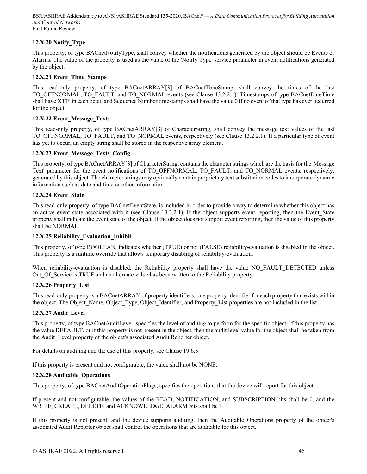## **12.X.20 Notify\_Type**

This property, of type BACnetNotifyType, shall convey whether the notifications generated by the object should be Events or Alarms. The value of the property is used as the value of the 'Notify Type' service parameter in event notifications generated by the object.

## **12.X.21 Event\_Time\_Stamps**

This read-only property, of type BACnetARRAY[3] of BACnetTimeStamp, shall convey the times of the last TO\_OFFNORMAL, TO\_FAULT, and TO\_NORMAL events (see Clause 13.2.2.1). Timestamps of type BACnetDateTime shall have X'FF' in each octet, and Sequence Number timestamps shall have the value 0 if no event of that type has ever occurred for the object.

## **12.X.22 Event\_Message\_Texts**

This read-only property, of type BACnetARRAY[3] of CharacterString, shall convey the message text values of the last TO\_OFFNORMAL, TO\_FAULT, and TO\_NORMAL events, respectively (see Clause 13.2.2.1). If a particular type of event has yet to occur, an empty string shall be stored in the respective array element.

## **12.X.23 Event\_Message\_Texts\_Config**

This property, of type BACnetARRAY[3] of CharacterString, contains the character strings which are the basis for the 'Message Text' parameter for the event notifications of TO\_OFFNORMAL, TO\_FAULT, and TO\_NORMAL events, respectively, generated by this object. The character strings may optionally contain proprietary text substitution codes to incorporate dynamic information such as date and time or other information.

## **12.X.24 Event\_State**

This read-only property, of type BACnetEventState, is included in order to provide a way to determine whether this object has an active event state associated with it (see Clause 13.2.2.1). If the object supports event reporting, then the Event State property shall indicate the event state of the object. If the object does not support event reporting, then the value of this property shall be NORMAL.

## **12.X.25 Reliability\_Evaluation\_Inhibit**

This property, of type BOOLEAN, indicates whether (TRUE) or not (FALSE) reliability-evaluation is disabled in the object. This property is a runtime override that allows temporary disabling of reliability-evaluation.

When reliability-evaluation is disabled, the Reliability property shall have the value NO\_FAULT\_DETECTED unless Out Of Service is TRUE and an alternate value has been written to the Reliability property.

## **12.X.26 Property\_List**

This read-only property is a BACnetARRAY of property identifiers, one property identifier for each property that exists within the object. The Object Name, Object Type, Object Identifier, and Property List properties are not included in the list.

## **12.X.27 Audit\_Level**

This property, of type BACnetAuditLevel, specifies the level of auditing to perform for the specific object. If this property has the value DEFAULT, or if this property is not present in the object, then the audit level value for the object shall be taken from the Audit Level property of the object's associated Audit Reporter object.

For details on auditing and the use of this property, see Clause 19.6.3.

If this property is present and not configurable, the value shall not be NONE.

## **12.X.28 Auditable\_Operations**

This property, of type BACnetAuditOperationFlags, specifies the operations that the device will report for this object.

If present and not configurable, the values of the READ, NOTIFICATION, and SUBSCRIPTION bits shall be 0, and the WRITE, CREATE, DELETE, and ACKNOWLEDGE\_ALARM bits shall be 1.

If this property is not present, and the device supports auditing, then the Auditable\_Operations property of the object's associated Audit Reporter object shall control the operations that are auditable for this object.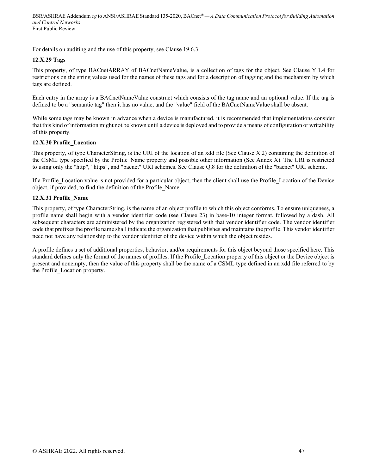For details on auditing and the use of this property, see Clause 19.6.3.

#### **12.X.29 Tags**

This property, of type BACnetARRAY of BACnetNameValue, is a collection of tags for the object. See Clause Y.1.4 for restrictions on the string values used for the names of these tags and for a description of tagging and the mechanism by which tags are defined.

Each entry in the array is a BACnetNameValue construct which consists of the tag name and an optional value. If the tag is defined to be a "semantic tag" then it has no value, and the "value" field of the BACnetNameValue shall be absent.

While some tags may be known in advance when a device is manufactured, it is recommended that implementations consider that this kind of information might not be known until a device is deployed and to provide a means of configuration or writability of this property.

#### **12.X.30 Profile\_Location**

This property, of type CharacterString, is the URI of the location of an xdd file (See Clause X.2) containing the definition of the CSML type specified by the Profile\_Name property and possible other information (See Annex X). The URI is restricted to using only the "http", "https", and "bacnet" URI schemes. See Clause Q.8 for the definition of the "bacnet" URI scheme.

If a Profile\_Location value is not provided for a particular object, then the client shall use the Profile\_Location of the Device object, if provided, to find the definition of the Profile\_Name.

#### **12.X.31 Profile\_Name**

This property, of type CharacterString, is the name of an object profile to which this object conforms. To ensure uniqueness, a profile name shall begin with a vendor identifier code (see Clause 23) in base-10 integer format, followed by a dash. All subsequent characters are administered by the organization registered with that vendor identifier code. The vendor identifier code that prefixes the profile name shall indicate the organization that publishes and maintains the profile. This vendor identifier need not have any relationship to the vendor identifier of the device within which the object resides.

A profile defines a set of additional properties, behavior, and/or requirements for this object beyond those specified here. This standard defines only the format of the names of profiles. If the Profile\_Location property of this object or the Device object is present and nonempty, then the value of this property shall be the name of a CSML type defined in an xdd file referred to by the Profile\_Location property.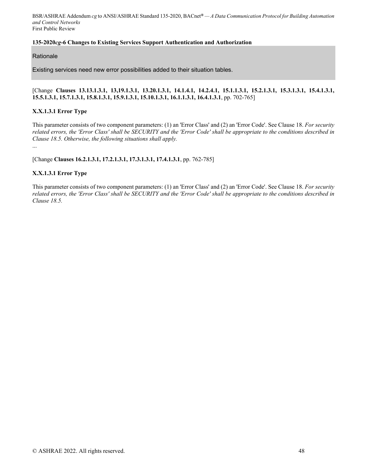## **135-2020***cg***-6 Changes to Existing Services Support Authentication and Authorization**

## **Rationale**

Existing services need new error possibilities added to their situation tables.

## [Change **Clauses 13.13.1.3.1, 13,19.1.3.1, 13.20.1.3.1, 14.1.4.1, 14.2.4.1, 15.1.1.3.1, 15.2.1.3.1, 15.3.1.3.1, 15.4.1.3.1, 15.5.1.3.1, 15.7.1.3.1, 15.8.1.3.1, 15.9.1.3.1, 15.10.1.3.1, 16.1.1.3.1, 16.4.1.3.1**, pp. 702-765]

## **X.X.1.3.1 Error Type**

This parameter consists of two component parameters: (1) an 'Error Class' and (2) an 'Error Code'. See Clause 18. *For security related errors, the 'Error Class' shall be SECURITY and the 'Error Code' shall be appropriate to the conditions described in Clause 18.5. Otherwise, the following situations shall apply.*

...

[Change **Clauses 16.2.1.3.1, 17.2.1.3.1, 17.3.1.3.1, 17.4.1.3.1**, pp. 762-785]

## **X.X.1.3.1 Error Type**

This parameter consists of two component parameters: (1) an 'Error Class' and (2) an 'Error Code'. See Clause 18. *For security related errors, the 'Error Class' shall be SECURITY and the 'Error Code' shall be appropriate to the conditions described in Clause 18.5.*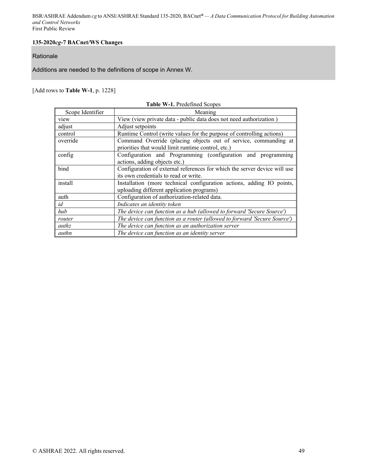## **135-2020***cg***-7 BACnet/WS Changes**

## Rationale

Additions are needed to the definitions of scope in Annex W.

## [Add rows to **Table W-1**, p. 1228]

|                  | <b>Table W-1. Predefined Scopes</b>                                       |
|------------------|---------------------------------------------------------------------------|
| Scope Identifier | Meaning                                                                   |
| view             | View (view private data - public data does not need authorization)        |
| adjust           | Adjust setpoints                                                          |
| control          | Runtime Control (write values for the purpose of controlling actions)     |
| override         | Command Override (placing objects out of service, commanding at           |
|                  | priorities that would limit runtime control, etc.)                        |
| config           | Configuration and Programming (configuration and programming              |
|                  | actions, adding objects etc.)                                             |
| bind             | Configuration of external references for which the server device will use |
|                  | its own credentials to read or write.                                     |
| install          | Installation (more technical configuration actions, adding IO points,     |
|                  | uploading different application programs)                                 |
| auth             | Configuration of authorization-related data.                              |
| id               | Indicates an identity token                                               |
| hub              | The device can function as a hub (allowed to forward 'Secure Source')     |
| router           | The device can function as a router (allowed to forward 'Secure Source')  |
| authz            | The device can function as an authorization server                        |
| authn            | The device can function as an identity server                             |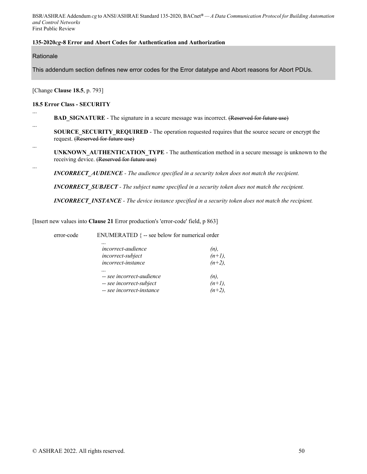## **135-2020***cg***-8 Error and Abort Codes for Authentication and Authorization**

**Rationale** 

...

...

...

...

This addendum section defines new error codes for the Error datatype and Abort reasons for Abort PDUs.

[Change **Clause 18.5**, p. 793]

#### **18.5 Error Class - SECURITY**

**BAD\_SIGNATURE** - The signature in a secure message was incorrect. (Reserved for future use)

**SOURCE\_SECURITY\_REQUIRED** - The operation requested requires that the source secure or encrypt the request. (Reserved for future use)

**UNKNOWN\_AUTHENTICATION\_TYPE** - The authentication method in a secure message is unknown to the receiving device. (Reserved for future use)

*INCORRECT\_AUDIENCE - The audience specified in a security token does not match the recipient.* 

*INCORRECT\_SUBJECT - The subject name specified in a security token does not match the recipient.* 

*INCORRECT\_INSTANCE - The device instance specified in a security token does not match the recipient.* 

[Insert new values into **Clause 21** Error production's 'error-code' field, p 863]

error-code ENUMERATED { -- see below for numerical order

| $\cdots$                  |           |
|---------------------------|-----------|
| <i>incorrect-audience</i> | (n),      |
| incorrect-subject         | $(n+1)$ , |
| incorrect-instance        | $(n+2)$ , |
| $\cdots$                  |           |
| -- see incorrect-audience | (n),      |
| -- see incorrect-subject  | $(n+1)$ , |
| -- see incorrect-instance | $(n+2)$ , |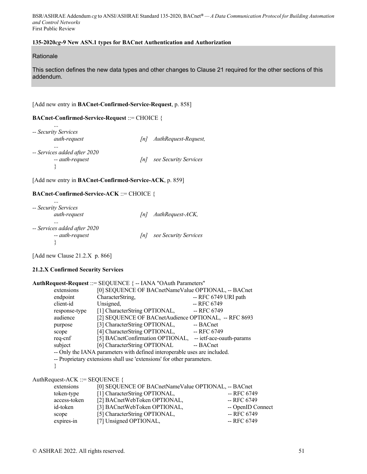#### **135-2020***cg***-9 New ASN.1 types for BACnet Authentication and Authorization**

**Rationale** 

This section defines the new data types and other changes to Clause 21 required for the other sections of this addendum.

#### [Add new entry in **BACnet-Confirmed-Service-Request**, p. 858]

#### **BACnet-Confirmed-Service-Request** ::= CHOICE {

| $\cdots$<br>-- Security Services         |     |                       |
|------------------------------------------|-----|-----------------------|
| auth-request                             | lnl | AuthRequest-Request,  |
| $\cdots$<br>-- Services added after 2020 |     |                       |
| -- auth-request                          | lnl | see Security Services |
|                                          |     |                       |

[Add new entry in **BACnet-Confirmed-Service-ACK**, p. 859]

#### **BACnet-Confirmed-Service-ACK** ::= CHOICE {

| $\cdots$<br>-- Security Services<br>auth-request | lnl | AuthRequest-ACK,      |
|--------------------------------------------------|-----|-----------------------|
| $\cdots$<br>-- Services added after 2020         |     |                       |
| -- auth-request                                  | lnl | see Security Services |
|                                                  |     |                       |

[Add new Clause 21.2.X p. 866]

#### **21.2.X Confirmed Security Services**

| AuthRequest-Request ::= SEQUENCE { -- IANA "OAuth Parameters"             |                                                      |                          |
|---------------------------------------------------------------------------|------------------------------------------------------|--------------------------|
| extensions                                                                | [0] SEQUENCE OF BACnetNameValue OPTIONAL, -- BACnet  |                          |
| endpoint                                                                  | CharacterString,                                     | -- RFC 6749 URI path     |
| client-id                                                                 | Unsigned,                                            | -- RFC 6749              |
| response-type                                                             | [1] CharacterString OPTIONAL,                        | -- RFC 6749              |
| audience                                                                  | [2] SEQUENCE OF BACnetAudience OPTIONAL, -- RFC 8693 |                          |
| purpose                                                                   | [3] CharacterString OPTIONAL,                        | -- BACnet                |
| scope                                                                     | [4] CharacterString OPTIONAL,                        | -- RFC 6749              |
| req-cnf                                                                   | [5] BACnetConfirmation OPTIONAL,                     | -- ietf-ace-oauth-params |
| subject                                                                   | [6] CharacterString OPTIONAL                         | -- BACnet                |
| -- Only the IANA parameters with defined interoperable uses are included. |                                                      |                          |
| -- Proprietary extensions shall use 'extensions' for other parameters.    |                                                      |                          |
|                                                                           |                                                      |                          |

#### AuthRequest-ACK ::= SEQUENCE {

| extensions   | [0] SEQUENCE OF BACnetNameValue OPTIONAL, -- BACnet |                   |
|--------------|-----------------------------------------------------|-------------------|
| token-type   | [1] CharacterString OPTIONAL,                       | -- RFC 6749       |
| access-token | [2] BACnetWebToken OPTIONAL,                        | -- RFC 6749       |
| id-token     | [3] BACnetWebToken OPTIONAL,                        | -- OpenID Connect |
| scope        | [5] CharacterString OPTIONAL,                       | -- RFC 6749       |
| expires-in   | [7] Unsigned OPTIONAL,                              | -- RFC 6749       |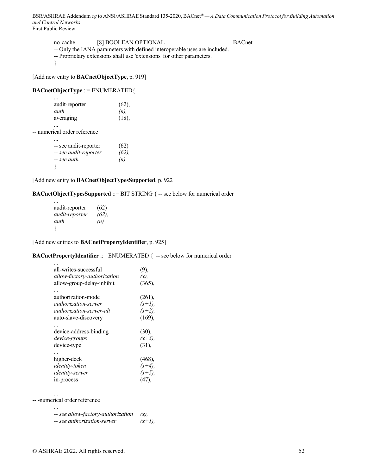| no-cache | [8] BOOLEAN OPTIONAL                                                       | -- BACnet |
|----------|----------------------------------------------------------------------------|-----------|
|          | -- Only the IANA parameters with defined interoperable uses are included.  |           |
|          | <b>Drappintony</b> extensions shall use lextensional for other neromotors. |           |

-- Proprietary extensions shall use 'extensions' for other parameters.

}

[Add new entry to **BACnetObjectType**, p. 919]

#### **BACnetObjectType** ::= ENUMERATED{

| (62),   |
|---------|
| $(n)$ , |
| (18),   |
|         |

 ... -- numerical order reference

...

| see audit-reporter    | <del>(62)</del> |
|-----------------------|-----------------|
| -- see audit-reporter | (62)            |
| -- see auth           | (n)             |
|                       |                 |

[Add new entry to **BACnetObjectTypesSupported**, p. 922]

**BACnetObjectTypesSupported** ::= BIT STRING { -- see below for numerical order

| audit-reporter        | (62) |
|-----------------------|------|
| <i>audit-reporter</i> | (62) |
| auth                  | (n)  |
|                       |      |

[Add new entries to **BACnetPropertyIdentifier**, p. 925]

**BACnetPropertyIdentifier** ::= ENUMERATED { -- see below for numerical order

| all-writes-successful       | (9),      |
|-----------------------------|-----------|
| allow-factory-authorization | (x),      |
| allow-group-delay-inhibit   | (365),    |
|                             |           |
| authorization-mode          | (261),    |
| <i>authorization-server</i> | $(x+1)$ , |
| authorization-server-alt    | $(x+2)$ , |
| auto-slave-discovery        | (169),    |
|                             |           |
| device-address-binding      | (30),     |
| device-groups               | $(x+3)$ , |
| device-type                 | (31),     |
| <br>higher-deck             | $(468)$ , |
| identity-token              | $(x+4)$ , |
| identity-server             | $(x+5)$ , |
|                             |           |
| in-process                  |           |

...

-- -numerical order reference

| $\cdots$                           |           |
|------------------------------------|-----------|
| -- see allow-factory-authorization |           |
| -- see authorization-server        | $(x+1)$ , |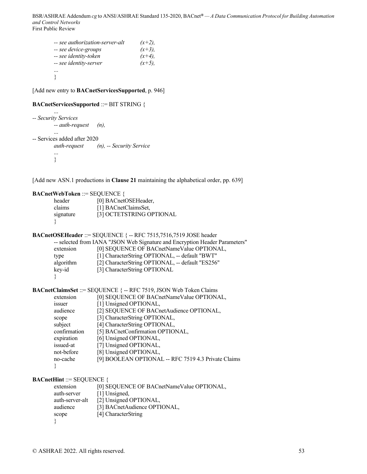| -- see authorization-server-alt | $(x+2)$ , |
|---------------------------------|-----------|
| -- see device-groups            | $(x+3)$ , |
| -- see identity-token           | $(x+4)$ , |
| -- see identity-server          | $(x+5)$ , |
|                                 |           |
|                                 |           |

[Add new entry to **BACnetServicesSupported**, p. 946]

#### **BACnetServicesSupported** ::= BIT STRING {

```
 ... 
-- Security Services 
          -- auth-request (n), 
          ... 
-- Services added after 2020 
          auth-request (n), -- Security Service 
          ... 
           }
```
[Add new ASN.1 productions in **Clause 21** maintaining the alphabetical order, pp. 639]

#### **BACnetWebToken** ::= SEQUENCE {

| header    | [0] BACnetOSEHeader,     |
|-----------|--------------------------|
| claims    | [1] BACnetClaimsSet,     |
| signature | [3] OCTETSTRING OPTIONAL |
|           |                          |

```
BACnetOSEHeader ::= SEQUENCE { -- RFC 7515,7516,7519 JOSE header
```

| -- selected from IANA "JSON Web Signature and Encryption Header Parameters" |                                                  |  |  |
|-----------------------------------------------------------------------------|--------------------------------------------------|--|--|
| extension                                                                   | [0] SEQUENCE OF BACnetNameValue OPTIONAL,        |  |  |
| type                                                                        | [1] CharacterString OPTIONAL, -- default "BWT"   |  |  |
| algorithm                                                                   | [2] CharacterString OPTIONAL, -- default "ES256" |  |  |
| key-id                                                                      | [3] CharacterString OPTIONAL                     |  |  |
|                                                                             |                                                  |  |  |

**BACnetClaimsSet** ::= SEQUENCE { -- RFC 7519, JSON Web Token Claims

| extension    | [0] SEQUENCE OF BACnetNameValue OPTIONAL,           |
|--------------|-----------------------------------------------------|
| <i>ssuer</i> | [1] Unsigned OPTIONAL,                              |
| audience     | [2] SEQUENCE OF BACnetAudience OPTIONAL,            |
| scope        | [3] CharacterString OPTIONAL,                       |
| subject      | [4] CharacterString OPTIONAL,                       |
| confirmation | [5] BACnetConfirmation OPTIONAL,                    |
| expiration   | [6] Unsigned OPTIONAL,                              |
| issued-at    | [7] Unsigned OPTIONAL,                              |
| not-before   | [8] Unsigned OPTIONAL,                              |
| no-cache     | [9] BOOLEAN OPTIONAL -- RFC 7519 4.3 Private Claims |
|              |                                                     |
|              |                                                     |

**BACnetHint** ::= SEOUENCE {

| extension   |                 | [0] SEQUENCE OF BACnetNameValue OPTIONAL, |
|-------------|-----------------|-------------------------------------------|
| auth-server | [1] Unsigned,   |                                           |
|             | auth-server-alt | [2] Unsigned OPTIONAL,                    |
| audience    |                 | [3] BACnetAudience OPTIONAL,              |
| scope       |                 | [4] CharacterString                       |
|             |                 |                                           |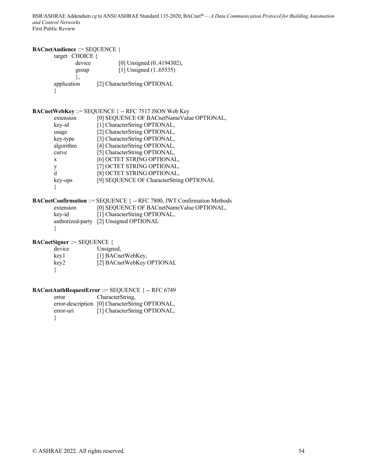## **BACnetAudience** ::= SEQUENCE {

| target CHOICE $\{$ |                              |
|--------------------|------------------------------|
| device             | [0] Unsigned (04194302),     |
| group              | [1] Unsigned $(165535)$      |
|                    |                              |
| application        | [2] CharacterString OPTIONAL |
|                    |                              |

## **BACnetWebKey** ::= SEQUENCE { -- RFC 7517 JSON Web Key

| [0] SEQUENCE OF BACnetNameValue OPTIONAL, |
|-------------------------------------------|
| [1] CharacterString OPTIONAL,             |
| [2] CharacterString OPTIONAL,             |
| [3] CharacterString OPTIONAL,             |
| [4] CharacterString OPTIONAL,             |
| [5] CharacterString OPTIONAL,             |
| [6] OCTET STRING OPTIONAL,                |
| [7] OCTET STRING OPTIONAL,                |
| [8] OCTET STRING OPTIONAL,                |
| [9] SEQUENCE OF CharacterString OPTIONAL  |
|                                           |
|                                           |

|           | <b>BACnetConfirmation ::= SEQUENCE { -- RFC 7800, JWT Confirmation Methods</b> |
|-----------|--------------------------------------------------------------------------------|
| extension | [0] SEQUENCE OF BACnetNameValue OPTIONAL,                                      |
| kev-id    | [1] CharacterString OPTIONAL,                                                  |
|           | authorized-party [2] Unsigned OPTIONAL                                         |
|           |                                                                                |

**BACnetSigner** ::= SEQUENCE {

| device | Unsigned,                 |
|--------|---------------------------|
| key1   | [1] BACnetWebKey,         |
| key2   | [2] BACnetWebKey OPTIONAL |
|        |                           |

## **BACnetAuthRequestError** ::= SEQUENCE { -- RFC 6749

| error     | CharacterString.                                |
|-----------|-------------------------------------------------|
|           | error-description [0] CharacterString OPTIONAL, |
| error-uri | [1] CharacterString OPTIONAL,                   |
|           |                                                 |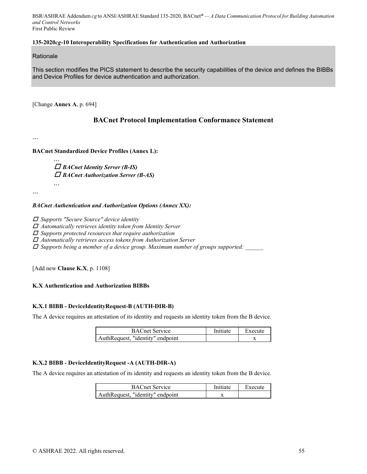## **135-2020***cg***-10 Interoperability Specifications for Authentication and Authorization**

#### **Rationale**

This section modifies the PICS statement to describe the security capabilities of the device and defines the BIBBs and Device Profiles for device authentication and authorization.

[Change **Annex A**, p. 694]

## **BACnet Protocol Implementation Conformance Statement**

...

**BACnet Standardized Device Profiles (Annex L):** 

*... BACnet Identity Server (B-IS) BACnet Authorization Server (B-AS) ...*

...

#### *BACnet Authentication and Authorization Options (Annex XX):*

 *Supports "Secure Source" device identity* 

 *Automatically retrieves identity token from Identity Server* 

 *Supports protected resources that require authorization* 

 *Automatically retrieves access tokens from Authorization Server* 

 *Supports being a member of a device group. Maximum number of groups supported: \_\_\_\_\_\_* 

[Add new **Clause K.X**, p. 1108]

## **K.X Authentication and Authorization BIBBs**

## **K.X.1 BIBB - DeviceIdentityRequest-B (AUTH-DIR-B)**

The A device requires an attestation of its identity and requests an identity token from the B device.

| <b>BACnet Service</b>            | Initiate | Execute |
|----------------------------------|----------|---------|
| AuthRequest. "identity" endpoint |          |         |

## **K.X.2 BIBB - DeviceIdentityRequest -A (AUTH-DIR-A)**

The A device requires an attestation of its identity and requests an identity token from the B device.

| <b>BACnet Service</b>            | Initiate | Execute |
|----------------------------------|----------|---------|
| AuthRequest. "identity" endpoint |          |         |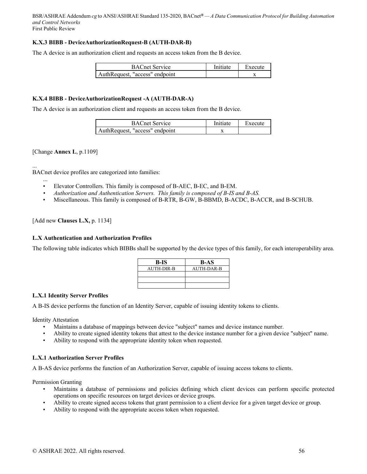## **K.X.3 BIBB - DeviceAuthorizationRequest-B (AUTH-DAR-B)**

The A device is an authorization client and requests an access token from the B device.

| <b>BACnet Service</b>          | Initiate | Execute |
|--------------------------------|----------|---------|
| AuthRequest, "access" endpoint |          |         |

## **K.X.4 BIBB - DeviceAuthorizationRequest -A (AUTH-DAR-A)**

The A device is an authorization client and requests an access token from the B device.

| <b>BACnet Service</b>          | <b>Initiate</b> | Execute |
|--------------------------------|-----------------|---------|
| AuthRequest. "access" endpoint |                 |         |

[Change **Annex L**, p.1109]

... BACnet device profiles are categorized into families:

- ... • Elevator Controllers. This family is composed of B-AEC, B-EC, and B-EM.
- *Authorization and Authentication Servers. This family is composed of B-IS and B-AS.*
- Miscellaneous. This family is composed of B-RTR, B-GW, B-BBMD, B-ACDC, B-ACCR, and B-SCHUB.

#### [Add new **Clauses L.X,** p. 1134]

#### **L.X Authentication and Authorization Profiles**

The following table indicates which BIBBs shall be supported by the device types of this family, for each interoperability area.

| B-IS       | <b>B-AS</b> |
|------------|-------------|
| AUTH-DIR-B | AUTH-DAR-B  |
|            |             |
|            |             |
|            |             |

#### **L.X.1 Identity Server Profiles**

A B-IS device performs the function of an Identity Server, capable of issuing identity tokens to clients.

Identity Attestation

- Maintains a database of mappings between device "subject" names and device instance number.
- Ability to create signed identity tokens that attest to the device instance number for a given device "subject" name.
- Ability to respond with the appropriate identity token when requested.

## **L.X.1 Authorization Server Profiles**

A B-AS device performs the function of an Authorization Server, capable of issuing access tokens to clients.

Permission Granting

- Maintains a database of permissions and policies defining which client devices can perform specific protected operations on specific resources on target devices or device groups.
- Ability to create signed access tokens that grant permission to a client device for a given target device or group.
- Ability to respond with the appropriate access token when requested.